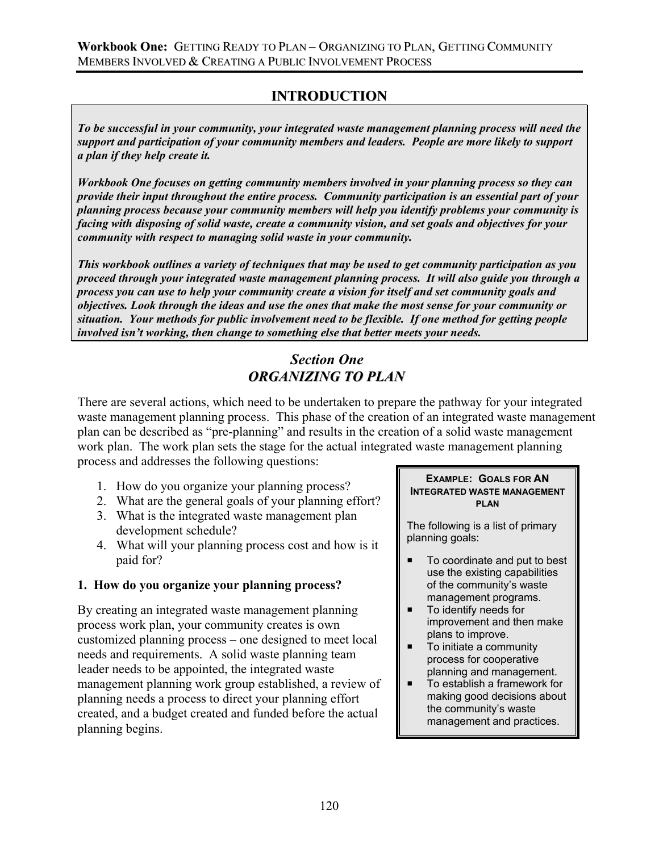# **INTRODUCTION**

*To be successful in your community, your integrated waste management planning process will need the support and participation of your community members and leaders. People are more likely to support a plan if they help create it.* 

*Workbook One focuses on getting community members involved in your planning process so they can provide their input throughout the entire process. Community participation is an essential part of your planning process because your community members will help you identify problems your community is facing with disposing of solid waste, create a community vision, and set goals and objectives for your community with respect to managing solid waste in your community.* 

*This workbook outlines a variety of techniques that may be used to get community participation as you proceed through your integrated waste management planning process. It will also guide you through a process you can use to help your community create a vision for itself and set community goals and objectives. Look through the ideas and use the ones that make the most sense for your community or situation. Your methods for public involvement need to be flexible. If one method for getting people involved isn't working, then change to something else that better meets your needs.* 

# *Section One ORGANIZING TO PLAN*

There are several actions, which need to be undertaken to prepare the pathway for your integrated waste management planning process. This phase of the creation of an integrated waste management plan can be described as "pre-planning" and results in the creation of a solid waste management work plan. The work plan sets the stage for the actual integrated waste management planning process and addresses the following questions:

- 1. How do you organize your planning process?
- 2. What are the general goals of your planning effort?
- 3. What is the integrated waste management plan development schedule?
- 4. What will your planning process cost and how is it paid for?

### **1. How do you organize your planning process?**

By creating an integrated waste management planning process work plan, your community creates is own customized planning process – one designed to meet local needs and requirements. A solid waste planning team leader needs to be appointed, the integrated waste management planning work group established, a review of planning needs a process to direct your planning effort created, and a budget created and funded before the actual planning begins.

#### **EXAMPLE: GOALS FOR AN INTEGRATED WASTE MANAGEMENT PLAN**

The following is a list of primary planning goals:

- To coordinate and put to best use the existing capabilities of the community's waste management programs.
- To identify needs for improvement and then make plans to improve.
- To initiate a community process for cooperative planning and management.
- To establish a framework for making good decisions about the community's waste management and practices.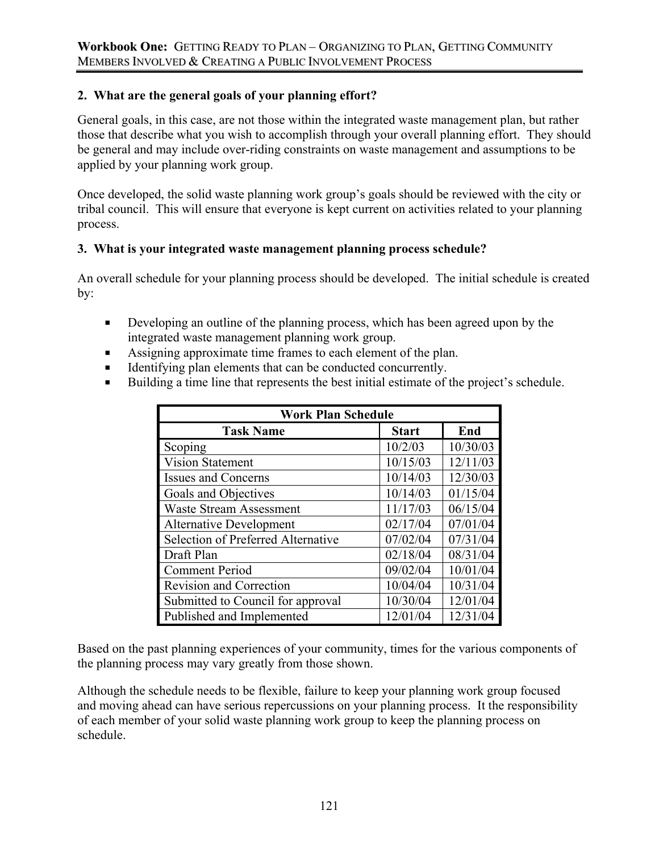## **2. What are the general goals of your planning effort?**

General goals, in this case, are not those within the integrated waste management plan, but rather those that describe what you wish to accomplish through your overall planning effort. They should be general and may include over-riding constraints on waste management and assumptions to be applied by your planning work group.

Once developed, the solid waste planning work group's goals should be reviewed with the city or tribal council. This will ensure that everyone is kept current on activities related to your planning process.

### **3. What is your integrated waste management planning process schedule?**

An overall schedule for your planning process should be developed. The initial schedule is created by:

- Developing an outline of the planning process, which has been agreed upon by the integrated waste management planning work group.
- Assigning approximate time frames to each element of the plan.
- Identifying plan elements that can be conducted concurrently.
- Building a time line that represents the best initial estimate of the project's schedule.

| <b>Work Plan Schedule</b>          |              |          |
|------------------------------------|--------------|----------|
| <b>Task Name</b>                   | <b>Start</b> | End      |
| Scoping                            | 10/2/03      | 10/30/03 |
| <b>Vision Statement</b>            | 10/15/03     | 12/11/03 |
| <b>Issues and Concerns</b>         | 10/14/03     | 12/30/03 |
| Goals and Objectives               | 10/14/03     | 01/15/04 |
| <b>Waste Stream Assessment</b>     | 11/17/03     | 06/15/04 |
| <b>Alternative Development</b>     | 02/17/04     | 07/01/04 |
| Selection of Preferred Alternative | 07/02/04     | 07/31/04 |
| Draft Plan                         | 02/18/04     | 08/31/04 |
| <b>Comment Period</b>              | 09/02/04     | 10/01/04 |
| <b>Revision and Correction</b>     | 10/04/04     | 10/31/04 |
| Submitted to Council for approval  | 10/30/04     | 12/01/04 |
| Published and Implemented          | 12/01/04     | 12/31/04 |

Based on the past planning experiences of your community, times for the various components of the planning process may vary greatly from those shown.

Although the schedule needs to be flexible, failure to keep your planning work group focused and moving ahead can have serious repercussions on your planning process. It the responsibility of each member of your solid waste planning work group to keep the planning process on schedule.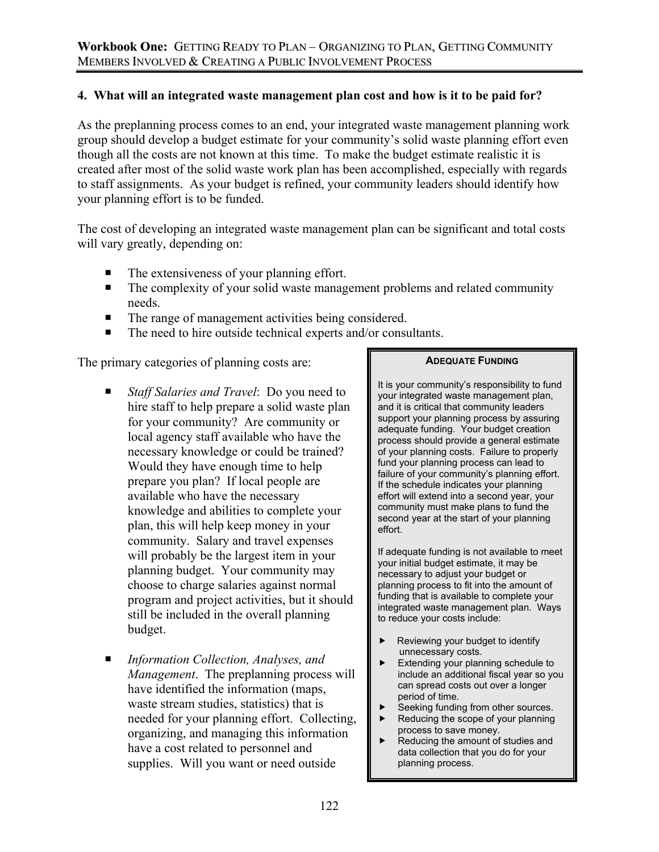### **4. What will an integrated waste management plan cost and how is it to be paid for?**

As the preplanning process comes to an end, your integrated waste management planning work group should develop a budget estimate for your community's solid waste planning effort even though all the costs are not known at this time. To make the budget estimate realistic it is created after most of the solid waste work plan has been accomplished, especially with regards to staff assignments. As your budget is refined, your community leaders should identify how your planning effort is to be funded.

The cost of developing an integrated waste management plan can be significant and total costs will vary greatly, depending on:

- The extensiveness of your planning effort.
- The complexity of your solid waste management problems and related community needs.
- The range of management activities being considered.
- The need to hire outside technical experts and/or consultants.

The primary categories of planning costs are:

- *Staff Salaries and Travel*: Do you need to hire staff to help prepare a solid waste plan for your community? Are community or local agency staff available who have the necessary knowledge or could be trained? Would they have enough time to help prepare you plan? If local people are available who have the necessary knowledge and abilities to complete your plan, this will help keep money in your community. Salary and travel expenses will probably be the largest item in your planning budget. Your community may choose to charge salaries against normal program and project activities, but it should still be included in the overall planning budget.
- *Information Collection, Analyses, and Management*. The preplanning process will have identified the information (maps, waste stream studies, statistics) that is needed for your planning effort. Collecting, organizing, and managing this information have a cost related to personnel and supplies. Will you want or need outside

### **ADEQUATE FUNDING**

It is your community's responsibility to fund your integrated waste management plan, and it is critical that community leaders support your planning process by assuring adequate funding. Your budget creation process should provide a general estimate of your planning costs. Failure to properly fund your planning process can lead to failure of your community's planning effort. If the schedule indicates your planning effort will extend into a second year, your community must make plans to fund the second year at the start of your planning effort.

If adequate funding is not available to meet your initial budget estimate, it may be necessary to adjust your budget or planning process to fit into the amount of funding that is available to complete your integrated waste management plan. Ways to reduce your costs include:

- $\blacktriangleright$  Reviewing your budget to identify unnecessary costs.<br>Extending your plan
- Extending your planning schedule to include an additional fiscal year so you can spread costs out over a longer period of time.
- Seeking funding from other sources.
- $\blacktriangleright$  Reducing the scope of your planning process to save money.
- $\blacktriangleright$  Reducing the amount of studies and data collection that you do for your planning process.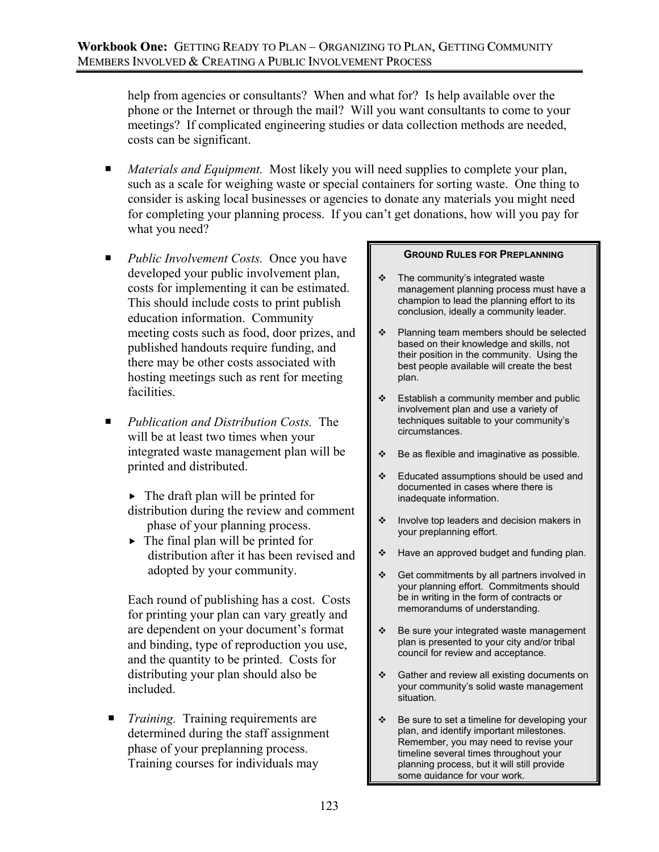help from agencies or consultants? When and what for? Is help available over the phone or the Internet or through the mail? Will you want consultants to come to your meetings? If complicated engineering studies or data collection methods are needed, costs can be significant.

- *Materials and Equipment.* Most likely you will need supplies to complete your plan, such as a scale for weighing waste or special containers for sorting waste. One thing to consider is asking local businesses or agencies to donate any materials you might need for completing your planning process. If you can't get donations, how will you pay for what you need?
- *Public Involvement Costs.* Once you have developed your public involvement plan, costs for implementing it can be estimated. This should include costs to print publish education information. Community meeting costs such as food, door prizes, and published handouts require funding, and there may be other costs associated with hosting meetings such as rent for meeting facilities.
- *Publication and Distribution Costs.* The will be at least two times when your integrated waste management plan will be printed and distributed.
	- $\blacktriangleright$  The draft plan will be printed for distribution during the review and comment phase of your planning process.
	- $\blacktriangleright$  The final plan will be printed for distribution after it has been revised and adopted by your community.

Each round of publishing has a cost. Costs for printing your plan can vary greatly and are dependent on your document's format and binding, type of reproduction you use, and the quantity to be printed. Costs for distributing your plan should also be included.

■ *Training.* Training requirements are determined during the staff assignment phase of your preplanning process. Training courses for individuals may

### **GROUND RULES FOR PREPLANNING**

- $\div$  The community's integrated waste management planning process must have a champion to lead the planning effort to its conclusion, ideally a community leader.
- ❖ Planning team members should be selected based on their knowledge and skills, not their position in the community. Using the best people available will create the best plan.
- $\div$  Establish a community member and public involvement plan and use a variety of techniques suitable to your community's circumstances.
- $\div$  Be as flexible and imaginative as possible.
- Educated assumptions should be used and documented in cases where there is inadequate information.
- $\cdot$  Involve top leaders and decision makers in your preplanning effort.
- ❖ Have an approved budget and funding plan.
- $\div$  Get commitments by all partners involved in your planning effort. Commitments should be in writing in the form of contracts or memorandums of understanding.
- $\div$  Be sure your integrated waste management plan is presented to your city and/or tribal council for review and acceptance.
- ❖ Gather and review all existing documents on your community's solid waste management situation.
- $\div$  Be sure to set a timeline for developing your plan, and identify important milestones. Remember, you may need to revise your timeline several times throughout your planning process, but it will still provide some quidance for your work.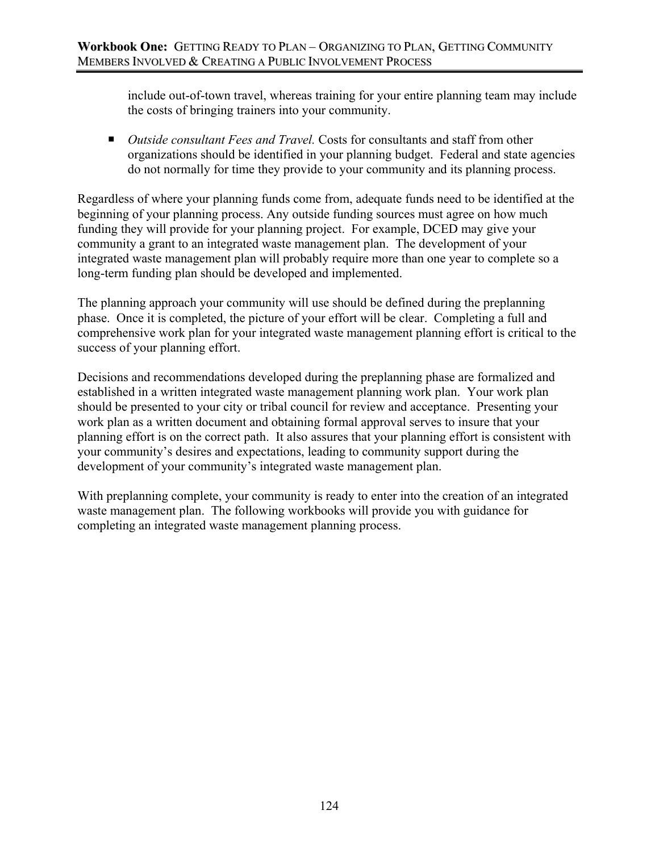include out-of-town travel, whereas training for your entire planning team may include the costs of bringing trainers into your community.

■ *Outside consultant Fees and Travel*. Costs for consultants and staff from other organizations should be identified in your planning budget. Federal and state agencies do not normally for time they provide to your community and its planning process.

Regardless of where your planning funds come from, adequate funds need to be identified at the beginning of your planning process. Any outside funding sources must agree on how much funding they will provide for your planning project. For example, DCED may give your community a grant to an integrated waste management plan. The development of your integrated waste management plan will probably require more than one year to complete so a long-term funding plan should be developed and implemented.

The planning approach your community will use should be defined during the preplanning phase. Once it is completed, the picture of your effort will be clear. Completing a full and comprehensive work plan for your integrated waste management planning effort is critical to the success of your planning effort.

Decisions and recommendations developed during the preplanning phase are formalized and established in a written integrated waste management planning work plan. Your work plan should be presented to your city or tribal council for review and acceptance. Presenting your work plan as a written document and obtaining formal approval serves to insure that your planning effort is on the correct path. It also assures that your planning effort is consistent with your community's desires and expectations, leading to community support during the development of your community's integrated waste management plan.

With preplanning complete, your community is ready to enter into the creation of an integrated waste management plan. The following workbooks will provide you with guidance for completing an integrated waste management planning process.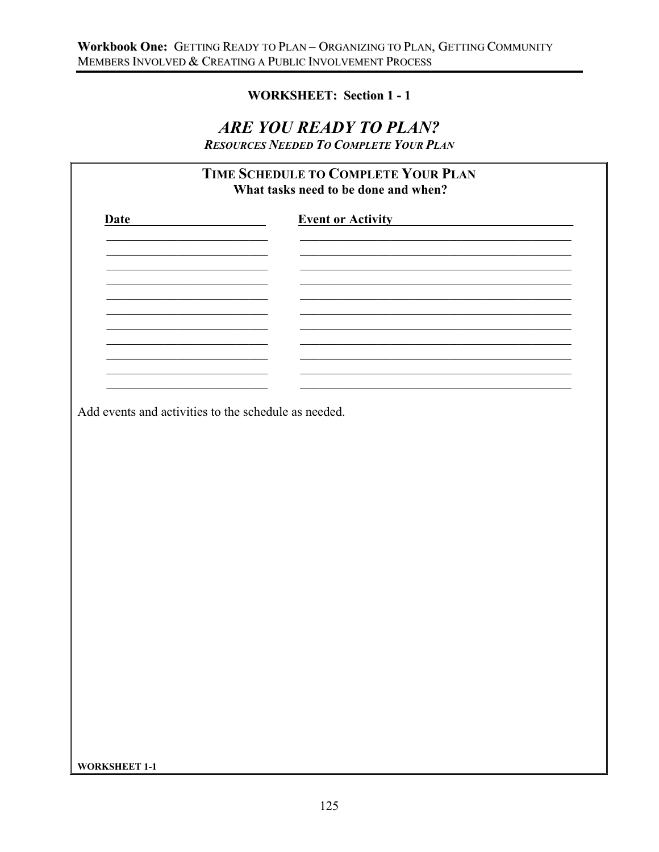# **WORKSHEET: Section 1 - 1**

# ARE YOU READY TO PLAN?

**RESOURCES NEEDED TO COMPLETE YOUR PLAN** 

| <b>Date</b>                                          | <b>Event or Activity</b> |  |
|------------------------------------------------------|--------------------------|--|
|                                                      |                          |  |
|                                                      |                          |  |
|                                                      |                          |  |
|                                                      |                          |  |
|                                                      |                          |  |
|                                                      |                          |  |
|                                                      |                          |  |
|                                                      |                          |  |
|                                                      |                          |  |
| Add events and activities to the schedule as needed. |                          |  |
|                                                      |                          |  |
|                                                      |                          |  |
|                                                      |                          |  |
|                                                      |                          |  |
|                                                      |                          |  |
|                                                      |                          |  |
|                                                      |                          |  |
|                                                      |                          |  |
|                                                      |                          |  |
|                                                      |                          |  |
|                                                      |                          |  |
|                                                      |                          |  |
|                                                      |                          |  |
|                                                      |                          |  |
|                                                      |                          |  |
|                                                      |                          |  |
|                                                      |                          |  |
|                                                      |                          |  |
|                                                      |                          |  |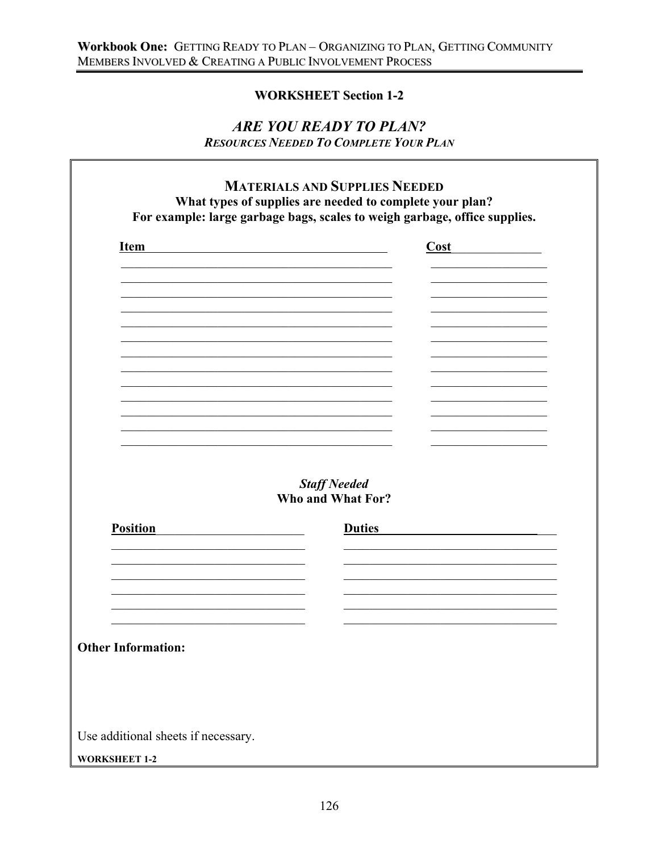# **WORKSHEET Section 1-2**

# ARE YOU READY TO PLAN? **RESOURCES NEEDED TO COMPLETE YOUR PLAN**

 $\mathbf{r}$ 

| <b>Item</b>               | Cost                                     |
|---------------------------|------------------------------------------|
|                           |                                          |
|                           |                                          |
|                           |                                          |
|                           |                                          |
|                           |                                          |
|                           |                                          |
|                           |                                          |
|                           | <b>Staff Needed</b><br>Who and What For? |
| <b>Position</b>           | <b>Duties</b>                            |
|                           |                                          |
|                           |                                          |
|                           |                                          |
|                           |                                          |
| <b>Other Information:</b> |                                          |
|                           |                                          |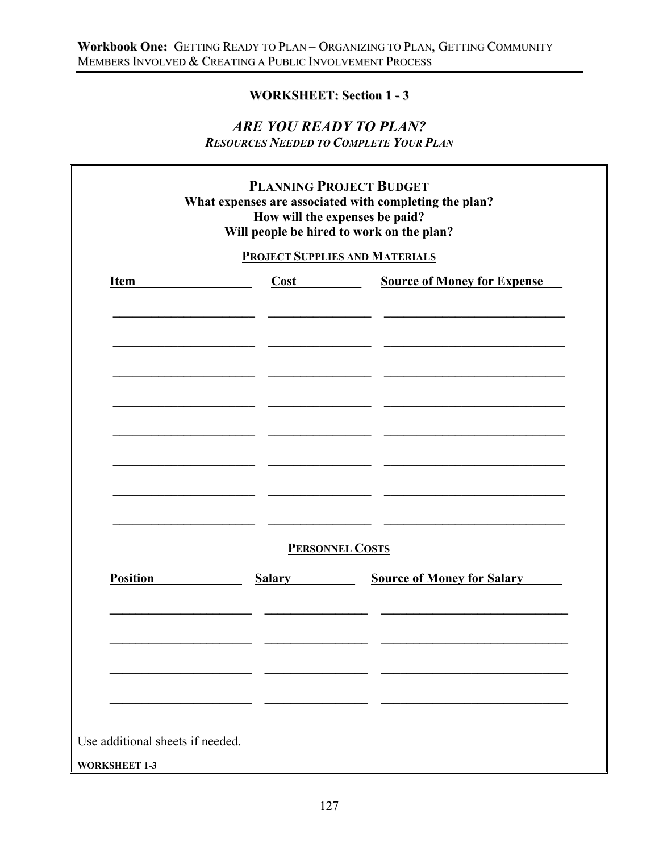# **WORKSHEET: Section 1 - 3**

# *ARE YOU READY TO PLAN?*

*RESOURCES NEEDED TO COMPLETE YOUR PLAN*

 $\mathbb{F}$ 

| <b>Source of Money for Expense</b><br><b>Item</b><br>Cost<br><b>PERSONNEL COSTS</b> |                 |               | <b>PROJECT SUPPLIES AND MATERIALS</b> |
|-------------------------------------------------------------------------------------|-----------------|---------------|---------------------------------------|
|                                                                                     |                 |               |                                       |
|                                                                                     |                 |               |                                       |
|                                                                                     | <b>Position</b> | <b>Salary</b> | <b>Source of Money for Salary</b>     |
|                                                                                     |                 |               |                                       |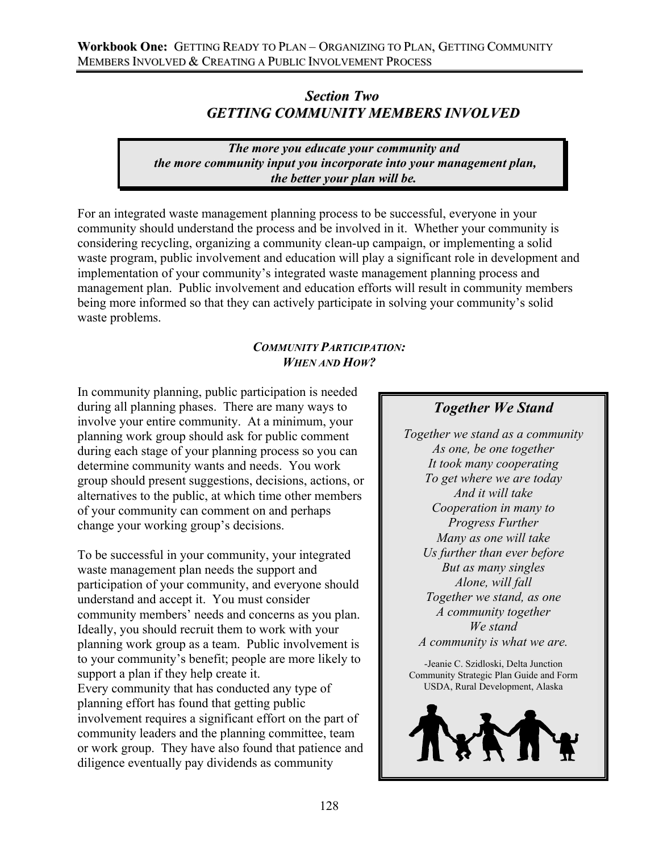# *Section Two GETTING COMMUNITY MEMBERS INVOLVED*

*The more you educate your community and the more community input you incorporate into your management plan, the better your plan will be.* 

For an integrated waste management planning process to be successful, everyone in your community should understand the process and be involved in it. Whether your community is considering recycling, organizing a community clean-up campaign, or implementing a solid waste program, public involvement and education will play a significant role in development and implementation of your community's integrated waste management planning process and management plan. Public involvement and education efforts will result in community members being more informed so that they can actively participate in solving your community's solid waste problems.

### *COMMUNITY PARTICIPATION: WHEN AND HOW?*

In community planning, public participation is needed during all planning phases. There are many ways to involve your entire community. At a minimum, your planning work group should ask for public comment during each stage of your planning process so you can determine community wants and needs. You work group should present suggestions, decisions, actions, or alternatives to the public, at which time other members of your community can comment on and perhaps change your working group's decisions.

To be successful in your community, your integrated waste management plan needs the support and participation of your community, and everyone should understand and accept it. You must consider community members' needs and concerns as you plan. Ideally, you should recruit them to work with your planning work group as a team. Public involvement is to your community's benefit; people are more likely to support a plan if they help create it. Every community that has conducted any type of planning effort has found that getting public involvement requires a significant effort on the part of community leaders and the planning committee, team or work group. They have also found that patience and diligence eventually pay dividends as community

# *Together We Stand*

*Together we stand as a community As one, be one together It took many cooperating To get where we are today And it will take Cooperation in many to Progress Further Many as one will take Us further than ever before But as many singles Alone, will fall Together we stand, as one A community together We stand A community is what we are.*

-Jeanie C. Szidloski, Delta Junction Community Strategic Plan Guide and Form USDA, Rural Development, Alaska

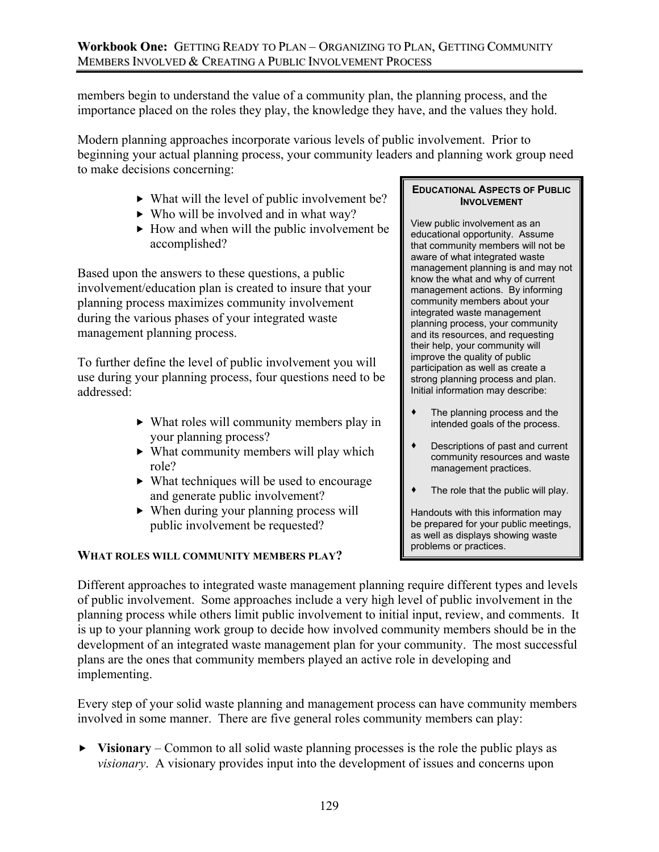### **Workbook One:** GETTING READY TO PLAN – ORGANIZING TO PLAN, GETTING COMMUNITY MEMBERS INVOLVED & CREATING A PUBLIC INVOLVEMENT PROCESS

members begin to understand the value of a community plan, the planning process, and the importance placed on the roles they play, the knowledge they have, and the values they hold.

Modern planning approaches incorporate various levels of public involvement. Prior to beginning your actual planning process, your community leaders and planning work group need to make decisions concerning:

- $\blacktriangleright$  What will the level of public involvement be?
- $\blacktriangleright$  Who will be involved and in what way?
- $\blacktriangleright$  How and when will the public involvement be accomplished?

Based upon the answers to these questions, a public involvement/education plan is created to insure that your planning process maximizes community involvement during the various phases of your integrated waste management planning process.

To further define the level of public involvement you will use during your planning process, four questions need to be addressed:

- $\triangleright$  What roles will community members play in your planning process?
- $\triangleright$  What community members will play which role?
- $\blacktriangleright$  What techniques will be used to encourage and generate public involvement?
- $\triangleright$  When during your planning process will public involvement be requested?

### **WHAT ROLES WILL COMMUNITY MEMBERS PLAY?**

### **EDUCATIONAL ASPECTS OF PUBLIC INVOLVEMENT**

View public involvement as an educational opportunity. Assume that community members will not be aware of what integrated waste management planning is and may not know the what and why of current management actions. By informing community members about your integrated waste management planning process, your community and its resources, and requesting their help, your community will improve the quality of public participation as well as create a strong planning process and plan. Initial information may describe:

- The planning process and the intended goals of the process.
- Descriptions of past and current community resources and waste management practices.
- The role that the public will play.

Handouts with this information may be prepared for your public meetings, as well as displays showing waste problems or practices.

Different approaches to integrated waste management planning require different types and levels of public involvement. Some approaches include a very high level of public involvement in the planning process while others limit public involvement to initial input, review, and comments. It is up to your planning work group to decide how involved community members should be in the development of an integrated waste management plan for your community. The most successful plans are the ones that community members played an active role in developing and implementing.

Every step of your solid waste planning and management process can have community members involved in some manner. There are five general roles community members can play:

 $\triangleright$  **Visionary** – Common to all solid waste planning processes is the role the public plays as *visionary*. A visionary provides input into the development of issues and concerns upon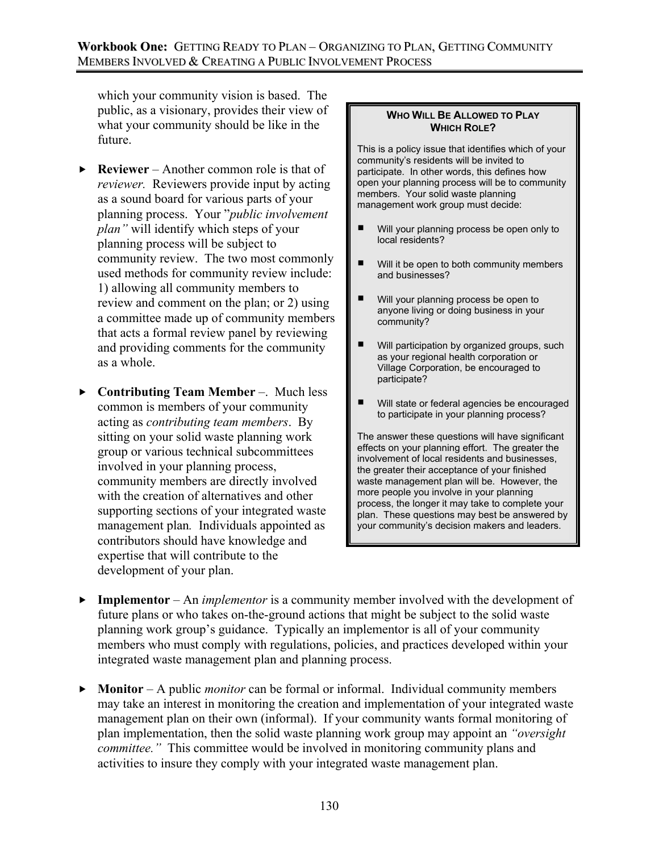which your community vision is based. The public, as a visionary, provides their view of what your community should be like in the future.

- $\blacktriangleright$  **Reviewer** Another common role is that of *reviewer.* Reviewers provide input by acting as a sound board for various parts of your planning process. Your "*public involvement plan"* will identify which steps of your planning process will be subject to community review. The two most commonly used methods for community review include: 1) allowing all community members to review and comment on the plan; or 2) using a committee made up of community members that acts a formal review panel by reviewing and providing comments for the community as a whole.
- ▶ Contributing Team Member –. Much less common is members of your community acting as *contributing team members*. By sitting on your solid waste planning work group or various technical subcommittees involved in your planning process, community members are directly involved with the creation of alternatives and other supporting sections of your integrated waste management plan*.* Individuals appointed as contributors should have knowledge and expertise that will contribute to the development of your plan.

### **WHO WILL BE ALLOWED TO PLAY WHICH ROLE?**

This is a policy issue that identifies which of your community's residents will be invited to participate. In other words, this defines how open your planning process will be to community members. Your solid waste planning management work group must decide:

- Will your planning process be open only to local residents?
- Will it be open to both community members and businesses?
- Will your planning process be open to anyone living or doing business in your community?
- Will participation by organized groups, such as your regional health corporation or Village Corporation, be encouraged to participate?
- Will state or federal agencies be encouraged to participate in your planning process?

The answer these questions will have significant effects on your planning effort. The greater the involvement of local residents and businesses, the greater their acceptance of your finished waste management plan will be. However, the more people you involve in your planning process, the longer it may take to complete your plan. These questions may best be answered by your community's decision makers and leaders.

- **Full Findmentor** An *implementor* is a community member involved with the development of future plans or who takes on-the-ground actions that might be subject to the solid waste planning work group's guidance. Typically an implementor is all of your community members who must comply with regulations, policies, and practices developed within your integrated waste management plan and planning process.
- **F** Monitor A public *monitor* can be formal or informal. Individual community members may take an interest in monitoring the creation and implementation of your integrated waste management plan on their own (informal). If your community wants formal monitoring of plan implementation, then the solid waste planning work group may appoint an *"oversight committee.*" This committee would be involved in monitoring community plans and activities to insure they comply with your integrated waste management plan.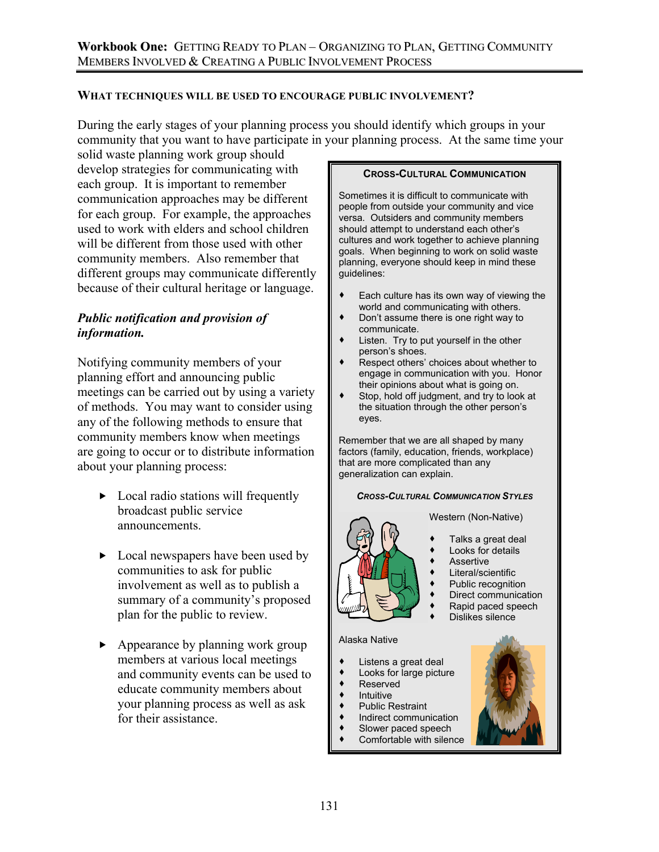### **WHAT TECHNIQUES WILL BE USED TO ENCOURAGE PUBLIC INVOLVEMENT?**

During the early stages of your planning process you should identify which groups in your community that you want to have participate in your planning process. At the same time your

solid waste planning work group should develop strategies for communicating with each group. It is important to remember communication approaches may be different for each group. For example, the approaches used to work with elders and school children will be different from those used with other community members. Also remember that different groups may communicate differently because of their cultural heritage or language.

# *Public notification and provision of information.*

Notifying community members of your planning effort and announcing public meetings can be carried out by using a variety of methods. You may want to consider using any of the following methods to ensure that community members know when meetings are going to occur or to distribute information about your planning process:

- $\triangleright$  Local radio stations will frequently broadcast public service announcements.
- $\triangleright$  Local newspapers have been used by communities to ask for public involvement as well as to publish a summary of a community's proposed plan for the public to review.
- $\blacktriangleright$  Appearance by planning work group members at various local meetings and community events can be used to educate community members about your planning process as well as ask for their assistance.

#### **CROSS-CULTURAL COMMUNICATION**

Sometimes it is difficult to communicate with people from outside your community and vice versa. Outsiders and community members should attempt to understand each other's cultures and work together to achieve planning goals. When beginning to work on solid waste planning, everyone should keep in mind these guidelines:

- Each culture has its own way of viewing the world and communicating with others.
- Don't assume there is one right way to communicate.
- Listen. Try to put yourself in the other person's shoes.
- Respect others' choices about whether to engage in communication with you. Honor their opinions about what is going on.
- Stop, hold off judgment, and try to look at the situation through the other person's eyes.

Remember that we are all shaped by many factors (family, education, friends, workplace) that are more complicated than any generalization can explain.

#### *CROSS-CULTURAL COMMUNICATION STYLES*

Western (Non-Native)



- Looks for details
- Assertive
- Literal/scientific
- Public recognition
- Direct communication
- Rapid paced speech
- Dislikes silence

### Alaska Native

- Listens a great deal
- Looks for large picture
- Reserved
- Intuitive
- Public Restraint
- Indirect communication
- Slower paced speech
- Comfortable with silence

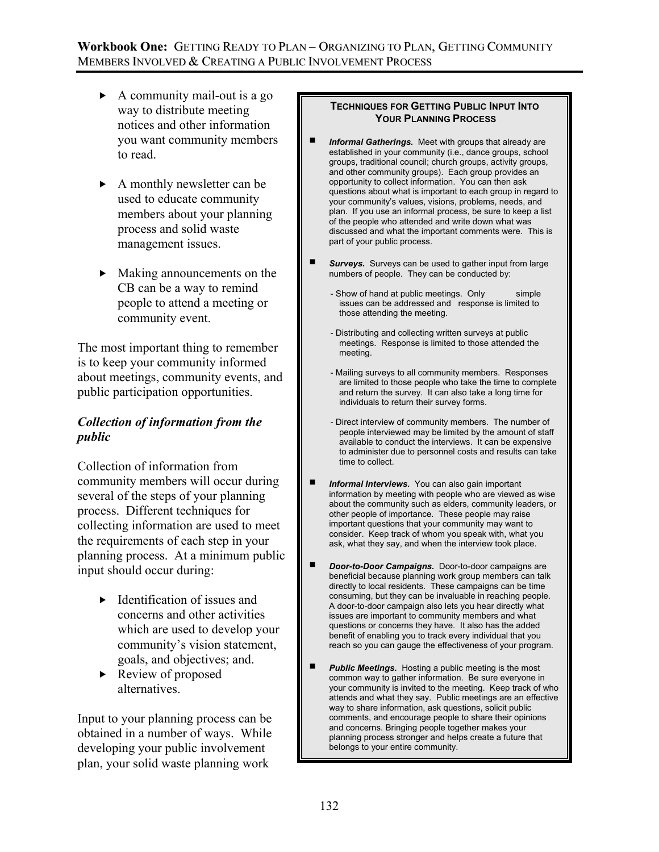- $\blacktriangleright$  A community mail-out is a go way to distribute meeting notices and other information you want community members to read.
- $\blacktriangleright$  A monthly newsletter can be used to educate community members about your planning process and solid waste management issues.
- $\blacktriangleright$  Making announcements on the CB can be a way to remind people to attend a meeting or community event.

The most important thing to remember is to keep your community informed about meetings, community events, and public participation opportunities.

# *Collection of information from the public*

Collection of information from community members will occur during several of the steps of your planning process. Different techniques for collecting information are used to meet the requirements of each step in your planning process. At a minimum public input should occur during:

- $\blacktriangleright$  Identification of issues and concerns and other activities which are used to develop your community's vision statement, goals, and objectives; and.
- $\blacktriangleright$  Review of proposed alternatives.

Input to your planning process can be obtained in a number of ways. While developing your public involvement plan, your solid waste planning work

### **TECHNIQUES FOR GETTING PUBLIC INPUT INTO YOUR PLANNING PROCESS**

- *Informal Gatherings.* Meet with groups that already are established in your community (i.e., dance groups, school groups, traditional council; church groups, activity groups, and other community groups). Each group provides an opportunity to collect information. You can then ask questions about what is important to each group in regard to your community's values, visions, problems, needs, and plan. If you use an informal process, be sure to keep a list of the people who attended and write down what was discussed and what the important comments were. This is part of your public process.
- **F** Surveys. Surveys can be used to gather input from large numbers of people. They can be conducted by:
	- Show of hand at public meetings. Only simple issues can be addressed and response is limited to those attending the meeting.
	- Distributing and collecting written surveys at public meetings. Response is limited to those attended the meeting.
	- Mailing surveys to all community members. Responses are limited to those people who take the time to complete and return the survey. It can also take a long time for individuals to return their survey forms.
	- Direct interview of community members. The number of people interviewed may be limited by the amount of staff available to conduct the interviews. It can be expensive to administer due to personnel costs and results can take time to collect.
- **Informal Interviews.** You can also gain important information by meeting with people who are viewed as wise about the community such as elders, community leaders, or other people of importance. These people may raise important questions that your community may want to consider. Keep track of whom you speak with, what you ask, what they say, and when the interview took place.
- *Door-to-Door Campaigns.* Door-to-door campaigns are beneficial because planning work group members can talk directly to local residents. These campaigns can be time consuming, but they can be invaluable in reaching people. A door-to-door campaign also lets you hear directly what issues are important to community members and what questions or concerns they have. It also has the added benefit of enabling you to track every individual that you reach so you can gauge the effectiveness of your program.
- *Public Meetings.* Hosting a public meeting is the most common way to gather information. Be sure everyone in your community is invited to the meeting. Keep track of who attends and what they say. Public meetings are an effective way to share information, ask questions, solicit public comments, and encourage people to share their opinions and concerns. Bringing people together makes your planning process stronger and helps create a future that belongs to your entire community.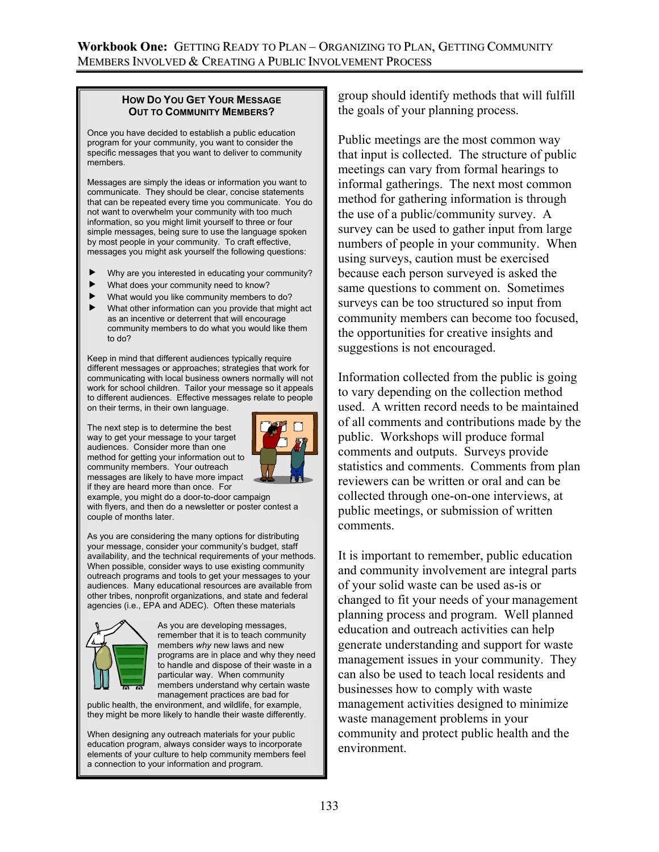### **HOW DO YOU GET YOUR MESSAGE OUT TO COMMUNITY MEMBERS?**

Once you have decided to establish a public education program for your community, you want to consider the specific messages that you want to deliver to community members.

Messages are simply the ideas or information you want to communicate. They should be clear, concise statements that can be repeated every time you communicate. You do not want to overwhelm your community with too much information, so you might limit yourself to three or four simple messages, being sure to use the language spoken by most people in your community. To craft effective, messages you might ask yourself the following questions:

- Why are you interested in educating your community?
- What does your community need to know?
- What would you like community members to do?
- What other information can you provide that might act as an incentive or deterrent that will encourage community members to do what you would like them to do?

Keep in mind that different audiences typically require different messages or approaches; strategies that work for communicating with local business owners normally will not work for school children. Tailor your message so it appeals to different audiences. Effective messages relate to people on their terms, in their own language.

The next step is to determine the best way to get your message to your target audiences. Consider more than one method for getting your information out to community members. Your outreach messages are likely to have more impact if they are heard more than once. For



example, you might do a door-to-door campaign with flyers, and then do a newsletter or poster contest a couple of months later.

As you are considering the many options for distributing your message, consider your community's budget, staff availability, and the technical requirements of your methods. When possible, consider ways to use existing community outreach programs and tools to get your messages to your audiences. Many educational resources are available from other tribes, nonprofit organizations, and state and federal agencies (i.e., EPA and ADEC). Often these materials



As you are developing messages, remember that it is to teach community members *why* new laws and new programs are in place and why they need to handle and dispose of their waste in a particular way. When community members understand why certain waste management practices are bad for

public health, the environment, and wildlife, for example, they might be more likely to handle their waste differently.

When designing any outreach materials for your public education program, always consider ways to incorporate elements of your culture to help community members feel a connection to your information and program.

group should identify methods that will fulfill the goals of your planning process.

Public meetings are the most common way that input is collected. The structure of public meetings can vary from formal hearings to informal gatherings. The next most common method for gathering information is through the use of a public/community survey. A survey can be used to gather input from large numbers of people in your community. When using surveys, caution must be exercised because each person surveyed is asked the same questions to comment on. Sometimes surveys can be too structured so input from community members can become too focused, the opportunities for creative insights and suggestions is not encouraged.

Information collected from the public is going to vary depending on the collection method used. A written record needs to be maintained of all comments and contributions made by the public. Workshops will produce formal comments and outputs. Surveys provide statistics and comments. Comments from plan reviewers can be written or oral and can be collected through one-on-one interviews, at public meetings, or submission of written comments.

It is important to remember, public education and community involvement are integral parts of your solid waste can be used as-is or changed to fit your needs of your management planning process and program. Well planned education and outreach activities can help generate understanding and support for waste management issues in your community. They can also be used to teach local residents and businesses how to comply with waste management activities designed to minimize waste management problems in your community and protect public health and the environment.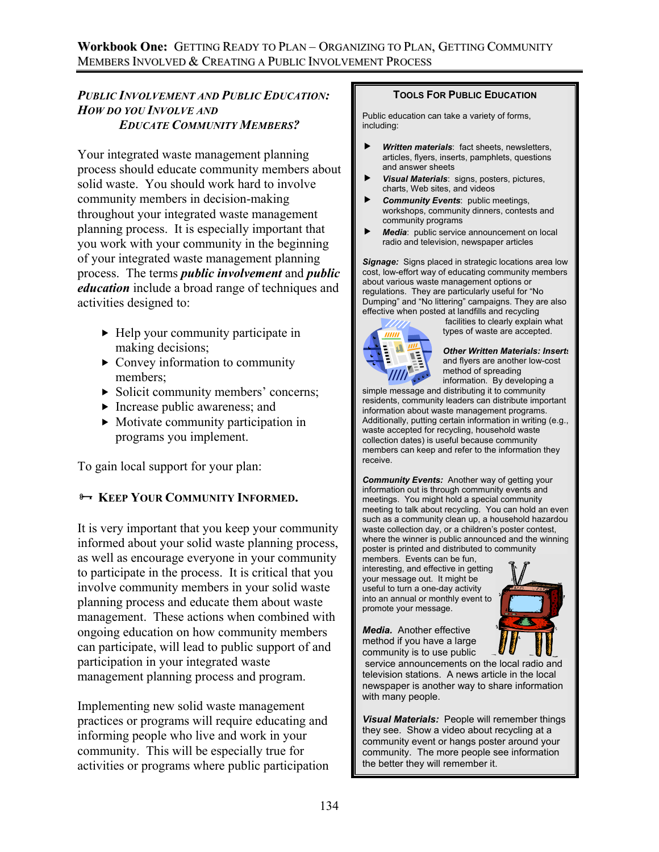### *PUBLIC INVOLVEMENT AND PUBLIC EDUCATION: HOW DO YOU INVOLVE AND EDUCATE COMMUNITY MEMBERS?*

Your integrated waste management planning process should educate community members about solid waste. You should work hard to involve community members in decision-making throughout your integrated waste management planning process. It is especially important that you work with your community in the beginning of your integrated waste management planning process. The terms *public involvement* and *public education* include a broad range of techniques and activities designed to:

- $\blacktriangleright$  Help your community participate in making decisions;
- $\triangleright$  Convey information to community members;
- $\triangleright$  Solicit community members' concerns;
- $\blacktriangleright$  Increase public awareness; and
- $\blacktriangleright$  Motivate community participation in programs you implement.

To gain local support for your plan:

# **E- KEEP YOUR COMMUNITY INFORMED.**

It is very important that you keep your community informed about your solid waste planning process, as well as encourage everyone in your community to participate in the process. It is critical that you involve community members in your solid waste planning process and educate them about waste management. These actions when combined with ongoing education on how community members can participate, will lead to public support of and participation in your integrated waste management planning process and program.

Implementing new solid waste management practices or programs will require educating and informing people who live and work in your community. This will be especially true for activities or programs where public participation

#### **TOOLS FOR PUBLIC EDUCATION**

Public education can take a variety of forms, including:

- **Written materials:** fact sheets, newsletters, articles, flyers, inserts, pamphlets, questions and answer sheets
- **F** *Visual Materials*: signs, posters, pictures, charts, Web sites, and videos
- **F** *Community Events*: public meetings, workshops, community dinners, contests and community programs
- **F** *Media*: public service announcement on local radio and television, newspaper articles

*Signage:* Signs placed in strategic locations area low cost, low-effort way of educating community members about various waste management options or regulations. They are particularly useful for "No Dumping" and "No littering" campaigns. They are also effective when posted at landfills and recycling



 facilities to clearly explain what types of waste are accepted.

*Other Written Materials: Inserts* and flyers are another low-cost method of spreading information. By developing a

simple message and distributing it to community residents, community leaders can distribute important information about waste management programs. Additionally, putting certain information in writing (e.g., waste accepted for recycling, household waste collection dates) is useful because community members can keep and refer to the information they receive.

*Community Events:* Another way of getting your information out is through community events and meetings. You might hold a special community meeting to talk about recycling. You can hold an even such as a community clean up, a household hazardou waste collection day, or a children's poster contest, where the winner is public announced and the winning poster is printed and distributed to community

members. Events can be fun, interesting, and effective in getting your message out. It might be useful to turn a one-day activity into an annual or monthly event to promote your message.

*Media.* Another effective method if you have a large community is to use public



*Visual Materials:* People will remember things they see. Show a video about recycling at a community event or hangs poster around your community. The more people see information the better they will remember it.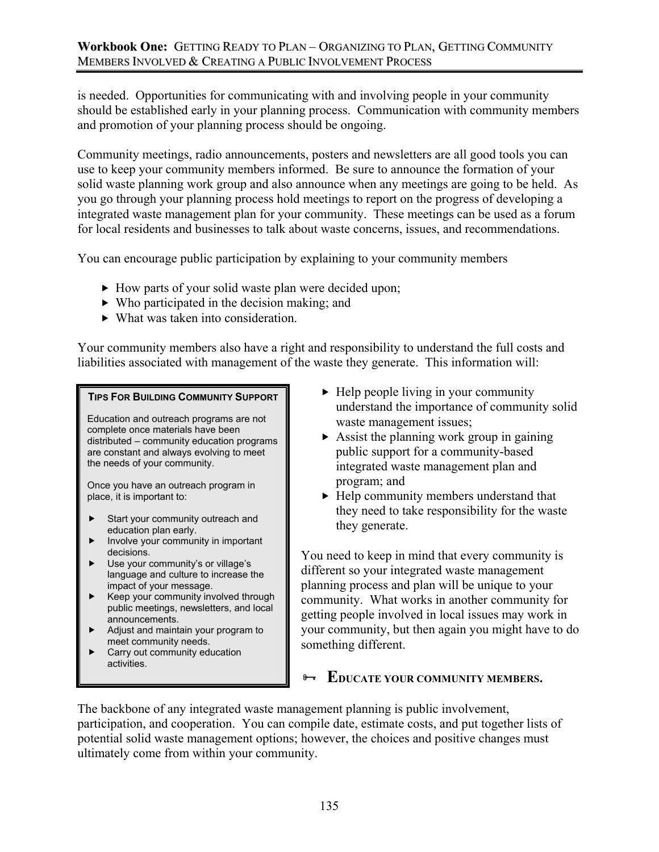is needed. Opportunities for communicating with and involving people in your community should be established early in your planning process. Communication with community members and promotion of your planning process should be ongoing.

Community meetings, radio announcements, posters and newsletters are all good tools you can use to keep your community members informed. Be sure to announce the formation of your solid waste planning work group and also announce when any meetings are going to be held. As you go through your planning process hold meetings to report on the progress of developing a integrated waste management plan for your community. These meetings can be used as a forum for local residents and businesses to talk about waste concerns, issues, and recommendations.

You can encourage public participation by explaining to your community members

- $\blacktriangleright$  How parts of your solid waste plan were decided upon;
- $\triangleright$  Who participated in the decision making; and
- $\blacktriangleright$  What was taken into consideration.

Your community members also have a right and responsibility to understand the full costs and liabilities associated with management of the waste they generate. This information will:

### **TIPS FOR BUILDING COMMUNITY SUPPORT**

Education and outreach programs are not complete once materials have been distributed – community education programs are constant and always evolving to meet the needs of your community.

Once you have an outreach program in place, it is important to:

- Start your community outreach and education plan early.
- $\blacktriangleright$  Involve your community in important decisions.
- Use your community's or village's language and culture to increase the impact of your message.
- $\blacktriangleright$  Keep your community involved through public meetings, newsletters, and local announcements.
- $\blacktriangleright$  Adjust and maintain your program to meet community needs.
- $\blacktriangleright$  Carry out community education activities.
- $\blacktriangleright$  Help people living in your community understand the importance of community solid waste management issues;
- $\triangleright$  Assist the planning work group in gaining public support for a community-based integrated waste management plan and program; and
- $\blacktriangleright$  Help community members understand that they need to take responsibility for the waste they generate.

You need to keep in mind that every community is different so your integrated waste management planning process and plan will be unique to your community. What works in another community for getting people involved in local issues may work in your community, but then again you might have to do something different.

# **EDUCATE YOUR COMMUNITY MEMBERS.**

The backbone of any integrated waste management planning is public involvement, participation, and cooperation. You can compile date, estimate costs, and put together lists of potential solid waste management options; however, the choices and positive changes must ultimately come from within your community.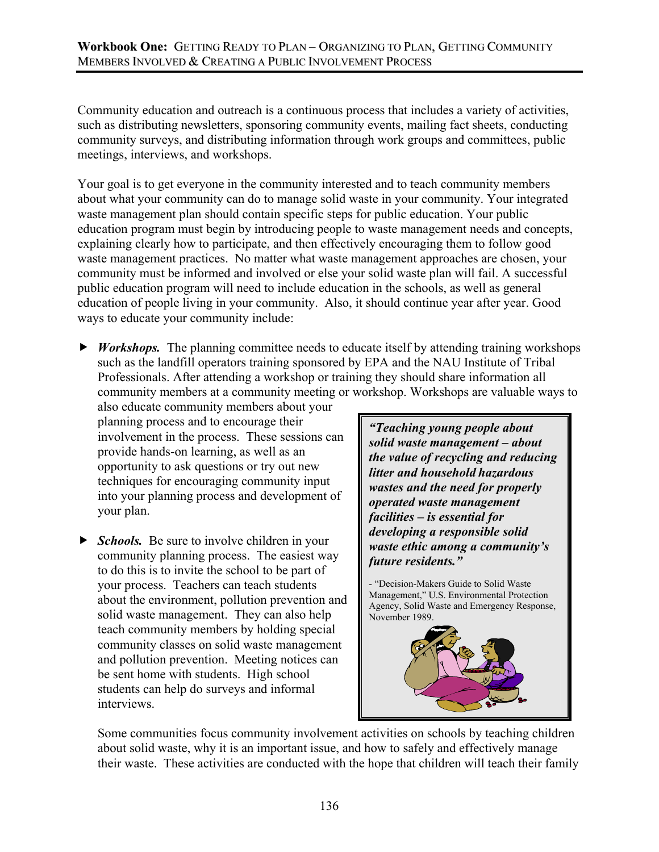### **Workbook One:** GETTING READY TO PLAN – ORGANIZING TO PLAN, GETTING COMMUNITY MEMBERS INVOLVED & CREATING A PUBLIC INVOLVEMENT PROCESS

Community education and outreach is a continuous process that includes a variety of activities, such as distributing newsletters, sponsoring community events, mailing fact sheets, conducting community surveys, and distributing information through work groups and committees, public meetings, interviews, and workshops.

Your goal is to get everyone in the community interested and to teach community members about what your community can do to manage solid waste in your community. Your integrated waste management plan should contain specific steps for public education. Your public education program must begin by introducing people to waste management needs and concepts, explaining clearly how to participate, and then effectively encouraging them to follow good waste management practices. No matter what waste management approaches are chosen, your community must be informed and involved or else your solid waste plan will fail. A successful public education program will need to include education in the schools, as well as general education of people living in your community. Also, it should continue year after year. Good ways to educate your community include:

**F** *Workshops.* The planning committee needs to educate itself by attending training workshops such as the landfill operators training sponsored by EPA and the NAU Institute of Tribal Professionals. After attending a workshop or training they should share information all community members at a community meeting or workshop. Workshops are valuable ways to

also educate community members about your planning process and to encourage their involvement in the process. These sessions can provide hands-on learning, as well as an opportunity to ask questions or try out new techniques for encouraging community input into your planning process and development of your plan.

**F** *Schools.* Be sure to involve children in your community planning process. The easiest way to do this is to invite the school to be part of your process. Teachers can teach students about the environment, pollution prevention and solid waste management. They can also help teach community members by holding special community classes on solid waste management and pollution prevention. Meeting notices can be sent home with students. High school students can help do surveys and informal interviews.

*"Teaching young people about solid waste management – about the value of recycling and reducing litter and household hazardous wastes and the need for properly operated waste management facilities – is essential for developing a responsible solid waste ethic among a community's future residents."* 

- "Decision-Makers Guide to Solid Waste Management," U.S. Environmental Protection Agency, Solid Waste and Emergency Response, November 1989.



Some communities focus community involvement activities on schools by teaching children about solid waste, why it is an important issue, and how to safely and effectively manage their waste. These activities are conducted with the hope that children will teach their family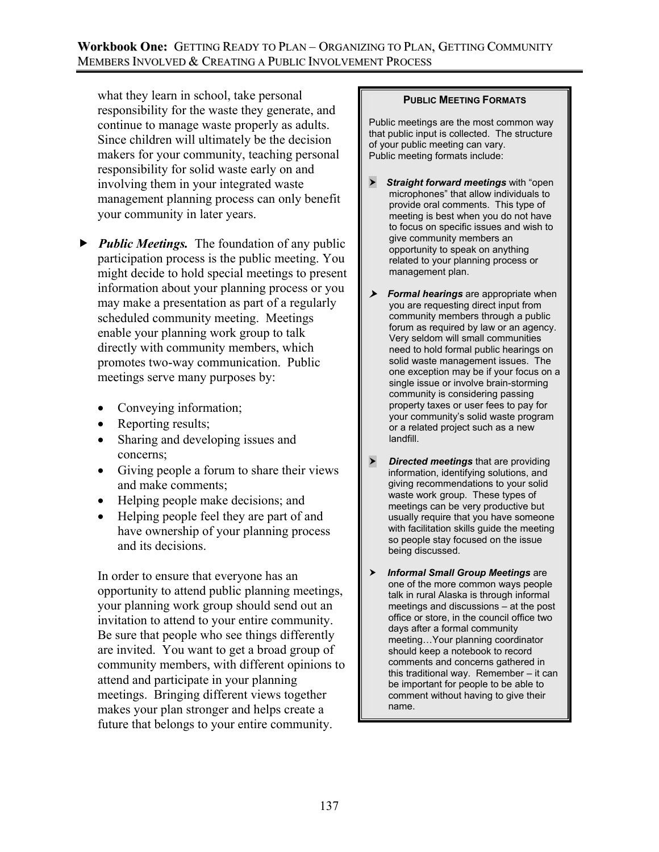### **Workbook One:** GETTING READY TO PLAN – ORGANIZING TO PLAN, GETTING COMMUNITY MEMBERS INVOLVED & CREATING A PUBLIC INVOLVEMENT PROCESS

what they learn in school, take personal responsibility for the waste they generate, and continue to manage waste properly as adults. Since children will ultimately be the decision makers for your community, teaching personal responsibility for solid waste early on and involving them in your integrated waste management planning process can only benefit your community in later years.

- **Fublic Meetings.** The foundation of any public participation process is the public meeting. You might decide to hold special meetings to present information about your planning process or you may make a presentation as part of a regularly scheduled community meeting. Meetings enable your planning work group to talk directly with community members, which promotes two-way communication. Public meetings serve many purposes by:
	- Conveying information;
	- Reporting results;
	- Sharing and developing issues and concerns;
	- Giving people a forum to share their views and make comments;
	- Helping people make decisions; and
	- Helping people feel they are part of and have ownership of your planning process and its decisions.

In order to ensure that everyone has an opportunity to attend public planning meetings, your planning work group should send out an invitation to attend to your entire community. Be sure that people who see things differently are invited. You want to get a broad group of community members, with different opinions to attend and participate in your planning meetings. Bringing different views together makes your plan stronger and helps create a future that belongs to your entire community.

### **PUBLIC MEETING FORMATS**

Public meetings are the most common way that public input is collected. The structure of your public meeting can vary. Public meeting formats include:

- **>** Straight forward meetings with "open microphones" that allow individuals to provide oral comments. This type of meeting is best when you do not have to focus on specific issues and wish to give community members an opportunity to speak on anything related to your planning process or management plan.
- $\triangleright$  Formal hearings are appropriate when you are requesting direct input from community members through a public forum as required by law or an agency. Very seldom will small communities need to hold formal public hearings on solid waste management issues. The one exception may be if your focus on a single issue or involve brain-storming community is considering passing property taxes or user fees to pay for your community's solid waste program or a related project such as a new landfill.
- **h** *Directed meetings* that are providing information, identifying solutions, and giving recommendations to your solid waste work group. These types of meetings can be very productive but usually require that you have someone with facilitation skills guide the meeting so people stay focused on the issue being discussed.
- $\triangleright$  Informal Small Group Meetings are one of the more common ways people talk in rural Alaska is through informal meetings and discussions – at the post office or store, in the council office two days after a formal community meeting…Your planning coordinator should keep a notebook to record comments and concerns gathered in this traditional way. Remember – it can be important for people to be able to comment without having to give their name.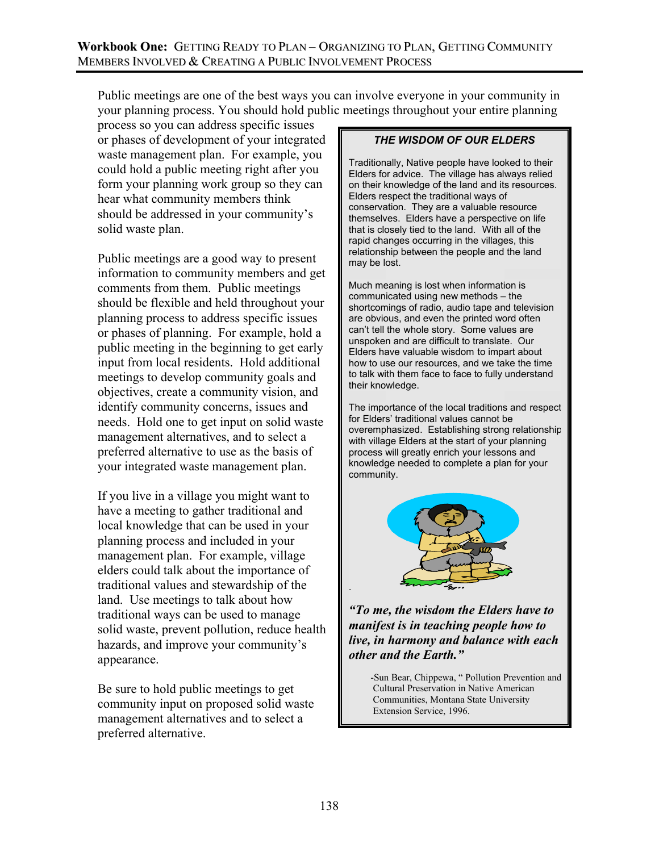Public meetings are one of the best ways you can involve everyone in your community in your planning process. You should hold public meetings throughout your entire planning

process so you can address specific issues or phases of development of your integrated waste management plan. For example, you could hold a public meeting right after you form your planning work group so they can hear what community members think should be addressed in your community's solid waste plan.

Public meetings are a good way to present information to community members and get comments from them. Public meetings should be flexible and held throughout your planning process to address specific issues or phases of planning. For example, hold a public meeting in the beginning to get early input from local residents. Hold additional meetings to develop community goals and objectives, create a community vision, and identify community concerns, issues and needs. Hold one to get input on solid waste management alternatives, and to select a preferred alternative to use as the basis of your integrated waste management plan.

If you live in a village you might want to have a meeting to gather traditional and local knowledge that can be used in your planning process and included in your management plan. For example, village elders could talk about the importance of traditional values and stewardship of the land. Use meetings to talk about how traditional ways can be used to manage solid waste, prevent pollution, reduce health hazards, and improve your community's appearance.

Be sure to hold public meetings to get community input on proposed solid waste management alternatives and to select a preferred alternative.

### *THE WISDOM OF OUR ELDERS*

Traditionally, Native people have looked to their Elders for advice. The village has always relied on their knowledge of the land and its resources. Elders respect the traditional ways of conservation. They are a valuable resource themselves. Elders have a perspective on life that is closely tied to the land. With all of the rapid changes occurring in the villages, this relationship between the people and the land may be lost.

Much meaning is lost when information is communicated using new methods – the shortcomings of radio, audio tape and television are obvious, and even the printed word often can't tell the whole story. Some values are unspoken and are difficult to translate. Our Elders have valuable wisdom to impart about how to use our resources, and we take the time to talk with them face to face to fully understand their knowledge.

The importance of the local traditions and respect for Elders' traditional values cannot be overemphasized. Establishing strong relationship with village Elders at the start of your planning process will greatly enrich your lessons and knowledge needed to complete a plan for your community.



*"To me, the wisdom the Elders have to manifest is in teaching people how to live, in harmony and balance with each other and the Earth."*

> -Sun Bear, Chippewa, " Pollution Prevention and Cultural Preservation in Native American Communities, Montana State University Extension Service, 1996.

.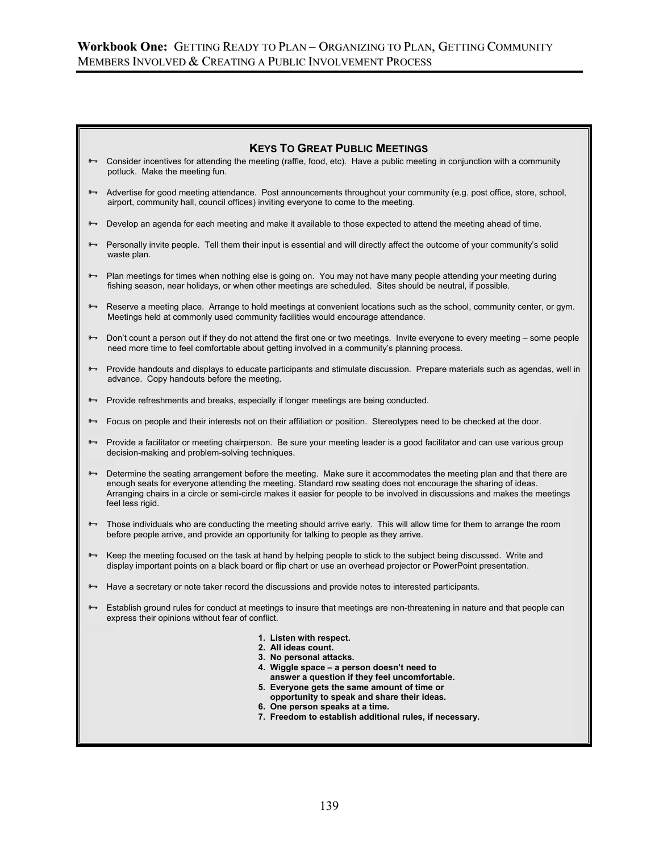# **KEYS TO GREAT PUBLIC MEETINGS**  $\rightarrow$  Consider incentives for attending the meeting (raffle, food, etc). Have a public meeting in conjunction with a community potluck. Make the meeting fun. Advertise for good meeting attendance. Post announcements throughout your community (e.g. post office, store, school, airport, community hall, council offices) inviting everyone to come to the meeting.  $\rightarrow$  Develop an agenda for each meeting and make it available to those expected to attend the meeting ahead of time. <sup>9→</sup> Personally invite people. Tell them their input is essential and will directly affect the outcome of your community's solid waste plan.  $\rightarrow$  Plan meetings for times when nothing else is going on. You may not have many people attending your meeting during fishing season, near holidays, or when other meetings are scheduled. Sites should be neutral, if possible. Reserve a meeting place. Arrange to hold meetings at convenient locations such as the school, community center, or gym. Meetings held at commonly used community facilities would encourage attendance. <sup>9→</sup> Don't count a person out if they do not attend the first one or two meetings. Invite everyone to every meeting – some people need more time to feel comfortable about getting involved in a community's planning process. <sup>9→</sup> Provide handouts and displays to educate participants and stimulate discussion. Prepare materials such as agendas, well in advance. Copy handouts before the meeting.  $\rightarrow$  Provide refreshments and breaks, especially if longer meetings are being conducted.  $\rightarrow$  Focus on people and their interests not on their affiliation or position. Stereotypes need to be checked at the door. Provide a facilitator or meeting chairperson. Be sure your meeting leader is a good facilitator and can use various group decision-making and problem-solving techniques. **→** Determine the seating arrangement before the meeting. Make sure it accommodates the meeting plan and that there are enough seats for everyone attending the meeting. Standard row seating does not encourage the sharing of ideas. Arranging chairs in a circle or semi-circle makes it easier for people to be involved in discussions and makes the meetings feel less rigid.  $\rightarrow$  Those individuals who are conducting the meeting should arrive early. This will allow time for them to arrange the room before people arrive, and provide an opportunity for talking to people as they arrive. <sup>8→</sup> Keep the meeting focused on the task at hand by helping people to stick to the subject being discussed. Write and display important points on a black board or flip chart or use an overhead projector or PowerPoint presentation. Have a secretary or note taker record the discussions and provide notes to interested participants. Establish ground rules for conduct at meetings to insure that meetings are non-threatening in nature and that people can express their opinions without fear of conflict. **1. Listen with respect. 2. All ideas count. 3. No personal attacks. 4. Wiggle space – a person doesn't need to answer a question if they feel uncomfortable. 5. Everyone gets the same amount of time or opportunity to speak and share their ideas. 6. One person speaks at a time. 7. Freedom to establish additional rules, if necessary.**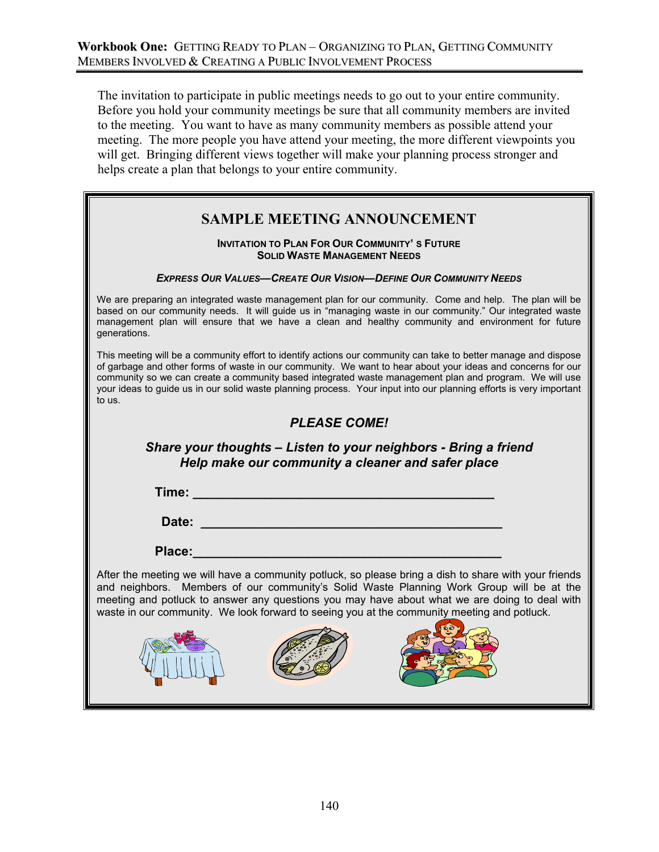The invitation to participate in public meetings needs to go out to your entire community. Before you hold your community meetings be sure that all community members are invited to the meeting. You want to have as many community members as possible attend your meeting. The more people you have attend your meeting, the more different viewpoints you will get. Bringing different views together will make your planning process stronger and helps create a plan that belongs to your entire community.

# **SAMPLE MEETING ANNOUNCEMENT**

#### **INVITATION TO PLAN FOR OUR COMMUNITY'S FUTURE SOLID WASTE MANAGEMENT NEEDS**

### *EXPRESS OUR VALUES—CREATE OUR VISION—DEFINE OUR COMMUNITY NEEDS*

We are preparing an integrated waste management plan for our community. Come and help. The plan will be based on our community needs. It will guide us in "managing waste in our community." Our integrated waste management plan will ensure that we have a clean and healthy community and environment for future generations.

This meeting will be a community effort to identify actions our community can take to better manage and dispose of garbage and other forms of waste in our community. We want to hear about your ideas and concerns for our community so we can create a community based integrated waste management plan and program. We will use your ideas to guide us in our solid waste planning process. Your input into our planning efforts is very important to us.

## *PLEASE COME!*

*Share your thoughts – Listen to your neighbors - Bring a friend Help make our community a cleaner and safer place*

**Time: \_\_\_\_\_\_\_\_\_\_\_\_\_\_\_\_\_\_\_\_\_\_\_\_\_\_\_\_\_\_\_\_\_\_\_\_\_\_\_\_\_\_** 

**Date: Date: Contract Contract Contract Contract Contract Contract Contract Contract Contract Contract Contract Contract Contract Contract Contract Contract Contract Contract Contract Contract Contract Contract Contrac** 

**Place:** 

After the meeting we will have a community potluck, so please bring a dish to share with your friends and neighbors. Members of our community's Solid Waste Planning Work Group will be at the meeting and potluck to answer any questions you may have about what we are doing to deal with waste in our community. We look forward to seeing you at the community meeting and potluck.





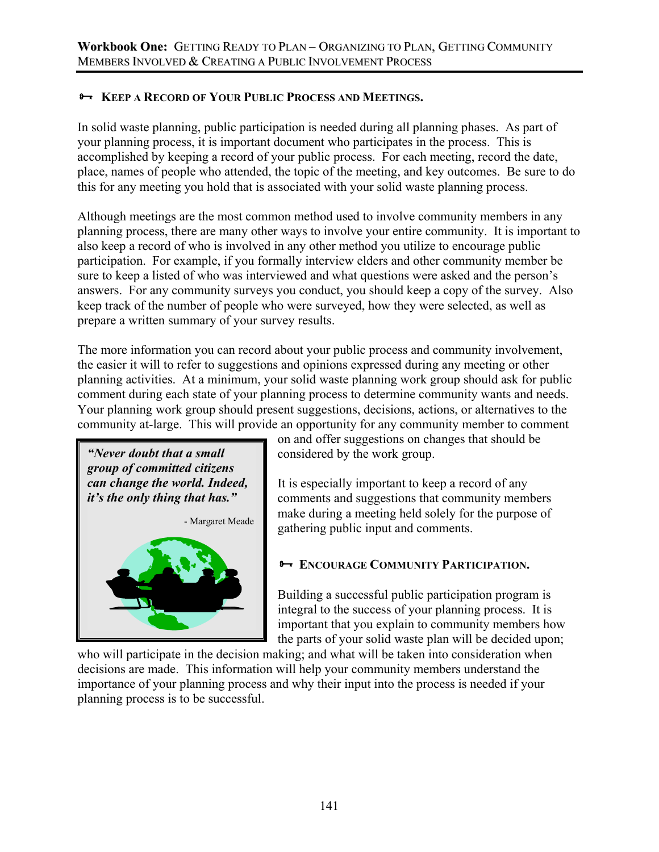# $\rightarrow$  **KEEP A RECORD OF YOUR PUBLIC PROCESS AND MEETINGS.**

In solid waste planning, public participation is needed during all planning phases. As part of your planning process, it is important document who participates in the process. This is accomplished by keeping a record of your public process. For each meeting, record the date, place, names of people who attended, the topic of the meeting, and key outcomes. Be sure to do this for any meeting you hold that is associated with your solid waste planning process.

Although meetings are the most common method used to involve community members in any planning process, there are many other ways to involve your entire community. It is important to also keep a record of who is involved in any other method you utilize to encourage public participation. For example, if you formally interview elders and other community member be sure to keep a listed of who was interviewed and what questions were asked and the person's answers. For any community surveys you conduct, you should keep a copy of the survey. Also keep track of the number of people who were surveyed, how they were selected, as well as prepare a written summary of your survey results.

The more information you can record about your public process and community involvement, the easier it will to refer to suggestions and opinions expressed during any meeting or other planning activities. At a minimum, your solid waste planning work group should ask for public comment during each state of your planning process to determine community wants and needs. Your planning work group should present suggestions, decisions, actions, or alternatives to the community at-large. This will provide an opportunity for any community member to comment



on and offer suggestions on changes that should be considered by the work group.

It is especially important to keep a record of any comments and suggestions that community members make during a meeting held solely for the purpose of gathering public input and comments.

# **B ENCOURAGE COMMUNITY PARTICIPATION.**

Building a successful public participation program is integral to the success of your planning process. It is important that you explain to community members how the parts of your solid waste plan will be decided upon;

who will participate in the decision making; and what will be taken into consideration when decisions are made. This information will help your community members understand the importance of your planning process and why their input into the process is needed if your planning process is to be successful.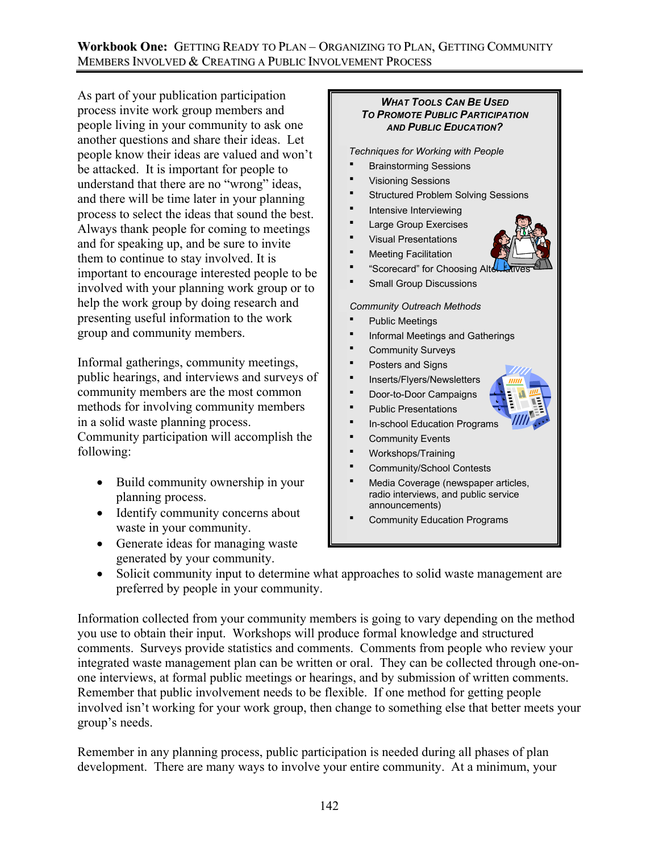### **Workbook One:** GETTING READY TO PLAN – ORGANIZING TO PLAN, GETTING COMMUNITY MEMBERS INVOLVED & CREATING A PUBLIC INVOLVEMENT PROCESS

As part of your publication participation process invite work group members and people living in your community to ask one another questions and share their ideas. Let people know their ideas are valued and won't be attacked. It is important for people to understand that there are no "wrong" ideas, and there will be time later in your planning process to select the ideas that sound the best. Always thank people for coming to meetings and for speaking up, and be sure to invite them to continue to stay involved. It is important to encourage interested people to be involved with your planning work group or to help the work group by doing research and presenting useful information to the work group and community members.

Informal gatherings, community meetings, public hearings, and interviews and surveys of community members are the most common methods for involving community members in a solid waste planning process. Community participation will accomplish the following:

- Build community ownership in your planning process.
- Identify community concerns about waste in your community.
- Generate ideas for managing waste generated by your community.

### *WHAT TOOLS CAN BE USED TO PROMOTE PUBLIC PARTICIPATION AND PUBLIC EDUCATION?*

*Techniques for Working with People* 

- Brainstorming Sessions
- Visioning Sessions
- Structured Problem Solving Sessions
- Intensive Interviewing
- Large Group Exercises
- Visual Presentations
- Meeting Facilitation
- "Scorecard" for Choosing A
- Small Group Discussions

*Community Outreach Methods* 

- Public Meetings
- **F** Informal Meetings and Gatherings
- Community Surveys
- Posters and Signs
- Inserts/Flyers/Newsletters
- Door-to-Door Campaigns
- **•** Public Presentations
- **In-school Education Programs**
- **•** Community Events
- Workshops/Training
- Community/School Contests
- Media Coverage (newspaper articles, radio interviews, and public service announcements)
- Community Education Programs
- Solicit community input to determine what approaches to solid waste management are preferred by people in your community.

Information collected from your community members is going to vary depending on the method you use to obtain their input. Workshops will produce formal knowledge and structured comments. Surveys provide statistics and comments. Comments from people who review your integrated waste management plan can be written or oral. They can be collected through one-onone interviews, at formal public meetings or hearings, and by submission of written comments. Remember that public involvement needs to be flexible. If one method for getting people involved isn't working for your work group, then change to something else that better meets your group's needs.

Remember in any planning process, public participation is needed during all phases of plan development. There are many ways to involve your entire community. At a minimum, your

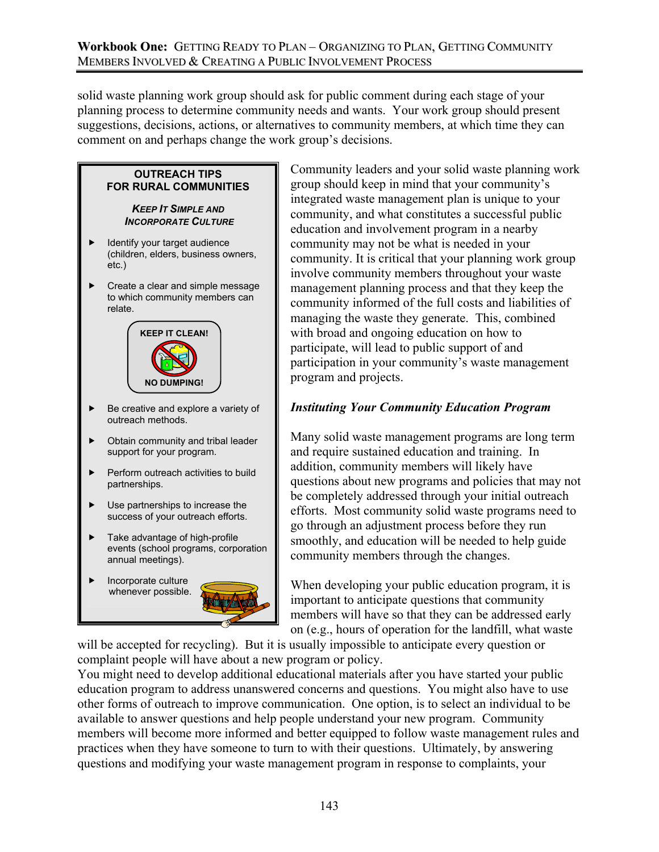solid waste planning work group should ask for public comment during each stage of your planning process to determine community needs and wants. Your work group should present suggestions, decisions, actions, or alternatives to community members, at which time they can comment on and perhaps change the work group's decisions.

### **OUTREACH TIPS FOR RURAL COMMUNITIES**

#### *KEEP IT SIMPLE AND INCORPORATE CULTURE*

- Identify your target audience (children, elders, business owners, etc.)
- Create a clear and simple message to which community members can relate.



- Be creative and explore a variety of outreach methods.
- Obtain community and tribal leader support for your program.
- Perform outreach activities to build partnerships.
- Use partnerships to increase the success of your outreach efforts.
- Take advantage of high-profile events (school programs, corporation annual meetings).
- Incorporate culture whenever possible.



Community leaders and your solid waste planning work group should keep in mind that your community's integrated waste management plan is unique to your community, and what constitutes a successful public education and involvement program in a nearby community may not be what is needed in your community. It is critical that your planning work group involve community members throughout your waste management planning process and that they keep the community informed of the full costs and liabilities of managing the waste they generate. This, combined with broad and ongoing education on how to participate, will lead to public support of and participation in your community's waste management program and projects.

# *Instituting Your Community Education Program*

Many solid waste management programs are long term and require sustained education and training. In addition, community members will likely have questions about new programs and policies that may not be completely addressed through your initial outreach efforts. Most community solid waste programs need to go through an adjustment process before they run smoothly, and education will be needed to help guide community members through the changes.

When developing your public education program, it is important to anticipate questions that community members will have so that they can be addressed early on (e.g., hours of operation for the landfill, what waste

will be accepted for recycling). But it is usually impossible to anticipate every question or complaint people will have about a new program or policy.

You might need to develop additional educational materials after you have started your public education program to address unanswered concerns and questions. You might also have to use other forms of outreach to improve communication. One option, is to select an individual to be available to answer questions and help people understand your new program. Community members will become more informed and better equipped to follow waste management rules and practices when they have someone to turn to with their questions. Ultimately, by answering questions and modifying your waste management program in response to complaints, your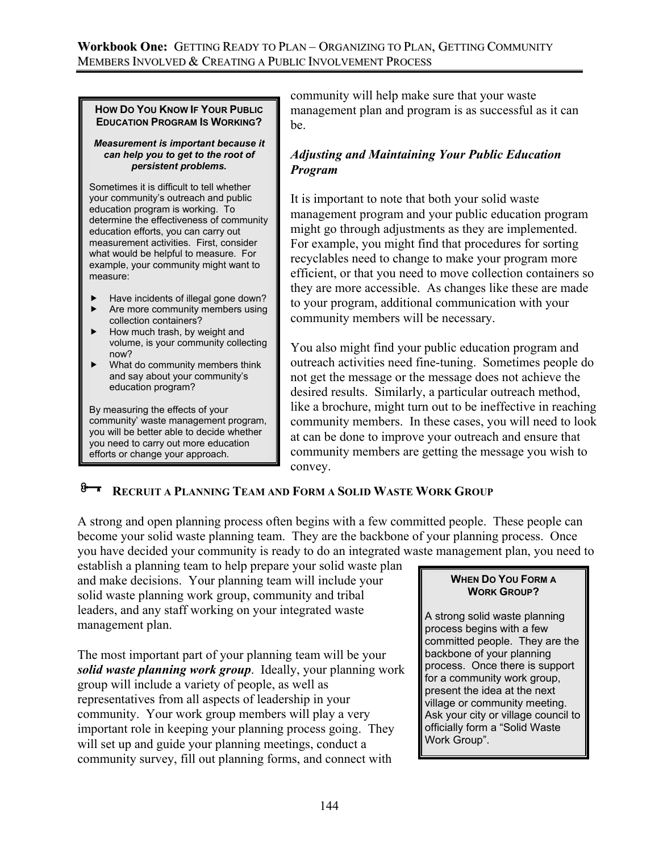#### **HOW DO YOU KNOW IF YOUR PUBLIC EDUCATION PROGRAM IS WORKING?**

#### *Measurement is important because it can help you to get to the root of persistent problems.*

Sometimes it is difficult to tell whether your community's outreach and public education program is working. To determine the effectiveness of community education efforts, you can carry out measurement activities. First, consider what would be helpful to measure. For example, your community might want to measure:

- Have incidents of illegal gone down?
- $\blacktriangleright$  Are more community members using collection containers?  $\blacktriangleright$  How much trash, by weight and
- volume, is your community collecting now?
- $\blacktriangleright$  What do community members think and say about your community's education program?

By measuring the effects of your community' waste management program, you will be better able to decide whether you need to carry out more education efforts or change your approach.

community will help make sure that your waste management plan and program is as successful as it can be.

## *Adjusting and Maintaining Your Public Education Program*

It is important to note that both your solid waste management program and your public education program might go through adjustments as they are implemented. For example, you might find that procedures for sorting recyclables need to change to make your program more efficient, or that you need to move collection containers so they are more accessible. As changes like these are made to your program, additional communication with your community members will be necessary.

You also might find your public education program and outreach activities need fine-tuning. Sometimes people do not get the message or the message does not achieve the desired results. Similarly, a particular outreach method, like a brochure, might turn out to be ineffective in reaching community members. In these cases, you will need to look at can be done to improve your outreach and ensure that community members are getting the message you wish to convey.

# *B***<sub><b>F**</sub> RECRUIT A PLANNING TEAM AND FORM A SOLID WASTE WORK GROUP

A strong and open planning process often begins with a few committed people. These people can become your solid waste planning team. They are the backbone of your planning process. Once you have decided your community is ready to do an integrated waste management plan, you need to

establish a planning team to help prepare your solid waste plan and make decisions. Your planning team will include your solid waste planning work group, community and tribal leaders, and any staff working on your integrated waste management plan.

The most important part of your planning team will be your *solid waste planning work group*. Ideally, your planning work group will include a variety of people, as well as representatives from all aspects of leadership in your community. Your work group members will play a very important role in keeping your planning process going. They will set up and guide your planning meetings, conduct a community survey, fill out planning forms, and connect with

### **WHEN DO YOU FORM A WORK GROUP?**

A strong solid waste planning process begins with a few committed people. They are the backbone of your planning process. Once there is support for a community work group, present the idea at the next village or community meeting. Ask your city or village council to officially form a "Solid Waste Work Group".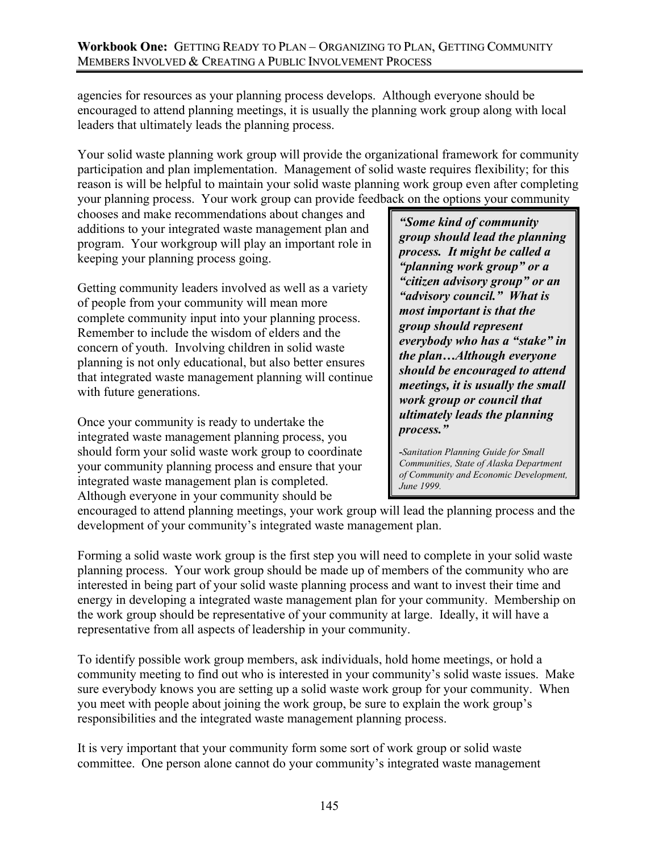agencies for resources as your planning process develops. Although everyone should be encouraged to attend planning meetings, it is usually the planning work group along with local leaders that ultimately leads the planning process.

Your solid waste planning work group will provide the organizational framework for community participation and plan implementation. Management of solid waste requires flexibility; for this reason is will be helpful to maintain your solid waste planning work group even after completing your planning process. Your work group can provide feedback on the options your community

chooses and make recommendations about changes and additions to your integrated waste management plan and program. Your workgroup will play an important role in keeping your planning process going.

Getting community leaders involved as well as a variety of people from your community will mean more complete community input into your planning process. Remember to include the wisdom of elders and the concern of youth. Involving children in solid waste planning is not only educational, but also better ensures that integrated waste management planning will continue with future generations.

Once your community is ready to undertake the integrated waste management planning process, you should form your solid waste work group to coordinate your community planning process and ensure that your integrated waste management plan is completed. Although everyone in your community should be

*"Some kind of community group should lead the planning process. It might be called a "planning work group" or a "citizen advisory group" or an "advisory council." What is most important is that the group should represent everybody who has a "stake" in the plan…Although everyone should be encouraged to attend meetings, it is usually the small work group or council that ultimately leads the planning process."*

*-Sanitation Planning Guide for Small Communities, State of Alaska Department of Community and Economic Development, June 1999.* 

encouraged to attend planning meetings, your work group will lead the planning process and the development of your community's integrated waste management plan.

Forming a solid waste work group is the first step you will need to complete in your solid waste planning process. Your work group should be made up of members of the community who are interested in being part of your solid waste planning process and want to invest their time and energy in developing a integrated waste management plan for your community. Membership on the work group should be representative of your community at large. Ideally, it will have a representative from all aspects of leadership in your community.

To identify possible work group members, ask individuals, hold home meetings, or hold a community meeting to find out who is interested in your community's solid waste issues. Make sure everybody knows you are setting up a solid waste work group for your community. When you meet with people about joining the work group, be sure to explain the work group's responsibilities and the integrated waste management planning process.

It is very important that your community form some sort of work group or solid waste committee. One person alone cannot do your community's integrated waste management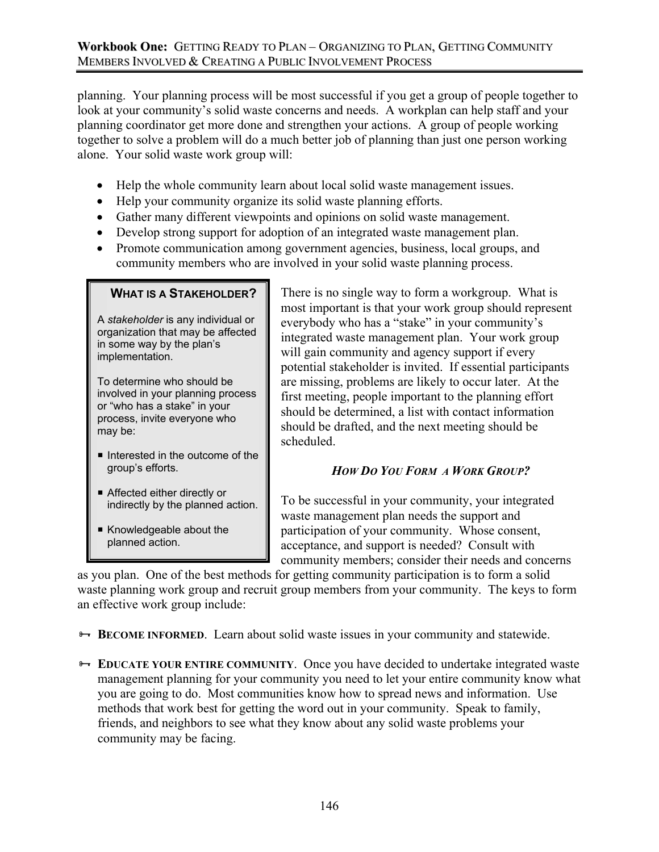planning. Your planning process will be most successful if you get a group of people together to look at your community's solid waste concerns and needs. A workplan can help staff and your planning coordinator get more done and strengthen your actions. A group of people working together to solve a problem will do a much better job of planning than just one person working alone. Your solid waste work group will:

- Help the whole community learn about local solid waste management issues.
- Help your community organize its solid waste planning efforts.
- Gather many different viewpoints and opinions on solid waste management.
- Develop strong support for adoption of an integrated waste management plan.
- Promote communication among government agencies, business, local groups, and community members who are involved in your solid waste planning process.

### **WHAT IS A STAKEHOLDER?**

A *stakeholder* is any individual or organization that may be affected in some way by the plan's implementation.

To determine who should be involved in your planning process or "who has a stake" in your process, invite everyone who may be:

- $\blacksquare$  Interested in the outcome of the group's efforts.
- Affected either directly or indirectly by the planned action.
- Knowledgeable about the planned action.

There is no single way to form a workgroup. What is most important is that your work group should represent everybody who has a "stake" in your community's integrated waste management plan. Your work group will gain community and agency support if every potential stakeholder is invited. If essential participants are missing, problems are likely to occur later. At the first meeting, people important to the planning effort should be determined, a list with contact information should be drafted, and the next meeting should be scheduled.

# *HOW DO YOU FORM A WORK GROUP?*

To be successful in your community, your integrated waste management plan needs the support and participation of your community. Whose consent, acceptance, and support is needed? Consult with community members; consider their needs and concerns

as you plan. One of the best methods for getting community participation is to form a solid waste planning work group and recruit group members from your community. The keys to form an effective work group include:

 $\rightarrow$  **BECOME INFORMED.** Learn about solid waste issues in your community and statewide.

<sup>8→</sup> EDUCATE YOUR ENTIRE COMMUNITY. Once you have decided to undertake integrated waste management planning for your community you need to let your entire community know what you are going to do. Most communities know how to spread news and information. Use methods that work best for getting the word out in your community. Speak to family, friends, and neighbors to see what they know about any solid waste problems your community may be facing.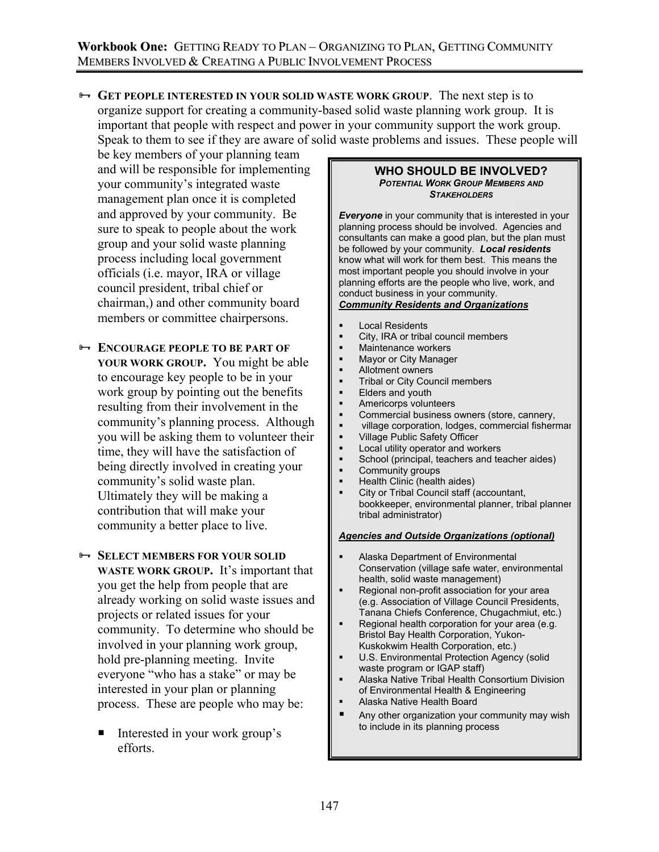<sup>8→</sup> GET PEOPLE INTERESTED IN YOUR SOLID WASTE WORK GROUP. The next step is to organize support for creating a community-based solid waste planning work group. It is important that people with respect and power in your community support the work group. Speak to them to see if they are aware of solid waste problems and issues. These people will

be key members of your planning team and will be responsible for implementing your community's integrated waste management plan once it is completed and approved by your community. Be sure to speak to people about the work group and your solid waste planning process including local government officials (i.e. mayor, IRA or village council president, tribal chief or chairman,) and other community board members or committee chairpersons.

- **ENCOURAGE PEOPLE TO BE PART OF YOUR WORK GROUP.** You might be able to encourage key people to be in your work group by pointing out the benefits resulting from their involvement in the community's planning process. Although you will be asking them to volunteer their time, they will have the satisfaction of being directly involved in creating your community's solid waste plan. Ultimately they will be making a contribution that will make your community a better place to live.
- **B- SELECT MEMBERS FOR YOUR SOLID WASTE WORK GROUP.**It's important that you get the help from people that are already working on solid waste issues and projects or related issues for your community. To determine who should be involved in your planning work group, hold pre-planning meeting. Invite everyone "who has a stake" or may be interested in your plan or planning process. These are people who may be:
	- Interested in your work group's efforts.

#### **WHO SHOULD BE INVOLVED?**  *POTENTIAL WORK GROUP MEMBERS AND STAKEHOLDERS*

*Everyone* in your community that is interested in your planning process should be involved. Agencies and consultants can make a good plan, but the plan must be followed by your community. *Local residents* know what will work for them best. This means the most important people you should involve in your planning efforts are the people who live, work, and conduct business in your community. *Community Residents and Organizations*

# Local Residents

- City, IRA or tribal council members
- Maintenance workers
- Mayor or City Manager
- Allotment owners
- Tribal or City Council members
- Elders and youth
- Americorps volunteers
- Commercial business owners (store, cannery,
- village corporation, lodges, commercial fisherman
- Village Public Safety Officer
- Local utility operator and workers
- School (principal, teachers and teacher aides)
- Community groups
- Health Clinic (health aides) City or Tribal Council staff (accountant, bookkeeper, environmental planner, tribal planner tribal administrator)

#### *Agencies and Outside Organizations (optional)*

- Alaska Department of Environmental Conservation (village safe water, environmental health, solid waste management)
- Regional non-profit association for your area (e.g. Association of Village Council Presidents, Tanana Chiefs Conference, Chugachmiut, etc.)
- Regional health corporation for your area (e.g. Bristol Bay Health Corporation, Yukon-Kuskokwim Health Corporation, etc.)
- U.S. Environmental Protection Agency (solid waste program or IGAP staff)
- Alaska Native Tribal Health Consortium Division of Environmental Health & Engineering
- Alaska Native Health Board
- Any other organization your community may wish to include in its planning process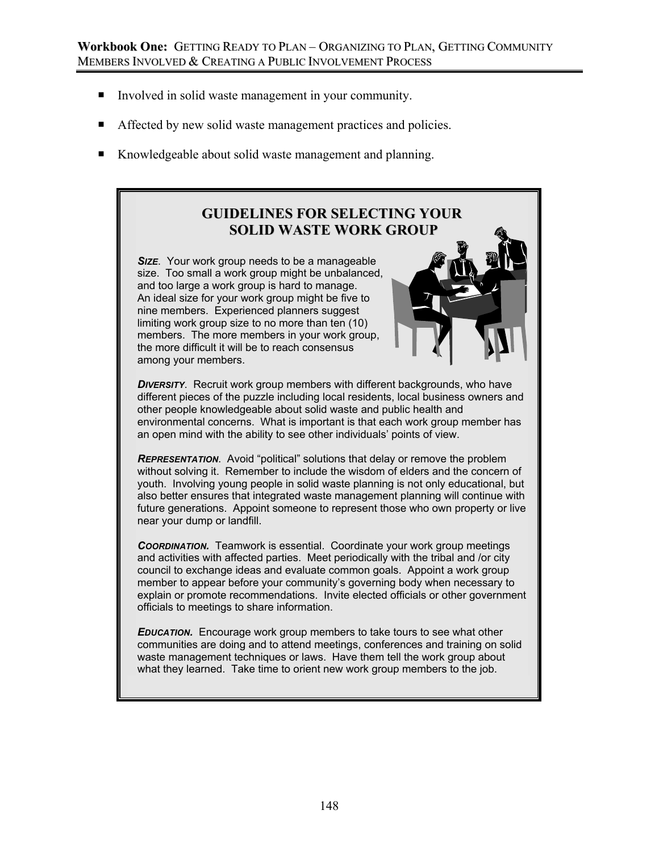- Involved in solid waste management in your community.
- Affected by new solid waste management practices and policies.
- Knowledgeable about solid waste management and planning.

# **GUIDELINES FOR SELECTING YOUR SOLID WASTE WORK GROUP**

**SIZE.** Your work group needs to be a manageable size. Too small a work group might be unbalanced, and too large a work group is hard to manage. An ideal size for your work group might be five to nine members. Experienced planners suggest limiting work group size to no more than ten (10) members. The more members in your work group. the more difficult it will be to reach consensus among your members.



**DIVERSITY.** Recruit work group members with different backgrounds, who have different pieces of the puzzle including local residents, local business owners and other people knowledgeable about solid waste and public health and environmental concerns. What is important is that each work group member has an open mind with the ability to see other individuals' points of view.

*REPRESENTATION*. Avoid "political" solutions that delay or remove the problem without solving it. Remember to include the wisdom of elders and the concern of youth. Involving young people in solid waste planning is not only educational, but also better ensures that integrated waste management planning will continue with future generations. Appoint someone to represent those who own property or live near your dump or landfill.

**COORDINATION.** Teamwork is essential. Coordinate your work group meetings and activities with affected parties. Meet periodically with the tribal and /or city council to exchange ideas and evaluate common goals. Appoint a work group member to appear before your community's governing body when necessary to explain or promote recommendations. Invite elected officials or other government officials to meetings to share information.

*EDUCATION.* Encourage work group members to take tours to see what other communities are doing and to attend meetings, conferences and training on solid waste management techniques or laws. Have them tell the work group about what they learned. Take time to orient new work group members to the job.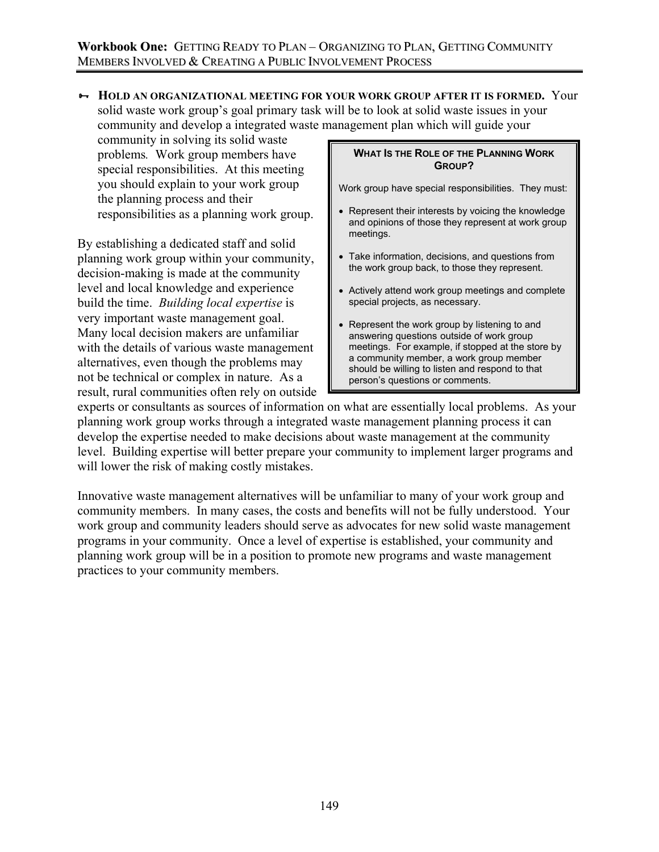³ **HOLD AN ORGANIZATIONAL MEETING FOR YOUR WORK GROUP AFTER IT IS FORMED.**Your solid waste work group's goal primary task will be to look at solid waste issues in your community and develop a integrated waste management plan which will guide your

community in solving its solid waste problems*.* Work group members have special responsibilities. At this meeting you should explain to your work group the planning process and their responsibilities as a planning work group.

By establishing a dedicated staff and solid planning work group within your community, decision-making is made at the community level and local knowledge and experience build the time. *Building local expertise* is very important waste management goal. Many local decision makers are unfamiliar with the details of various waste management alternatives, even though the problems may not be technical or complex in nature. As a result, rural communities often rely on outside

### **WHAT IS THE ROLE OF THE PLANNING WORK GROUP?**

Work group have special responsibilities. They must:

- Represent their interests by voicing the knowledge and opinions of those they represent at work group meetings.
- Take information, decisions, and questions from the work group back, to those they represent.
- Actively attend work group meetings and complete special projects, as necessary.
- Represent the work group by listening to and answering questions outside of work group meetings. For example, if stopped at the store by a community member, a work group member should be willing to listen and respond to that person's questions or comments.

experts or consultants as sources of information on what are essentially local problems. As your planning work group works through a integrated waste management planning process it can develop the expertise needed to make decisions about waste management at the community level. Building expertise will better prepare your community to implement larger programs and will lower the risk of making costly mistakes.

Innovative waste management alternatives will be unfamiliar to many of your work group and community members. In many cases, the costs and benefits will not be fully understood. Your work group and community leaders should serve as advocates for new solid waste management programs in your community. Once a level of expertise is established, your community and planning work group will be in a position to promote new programs and waste management practices to your community members.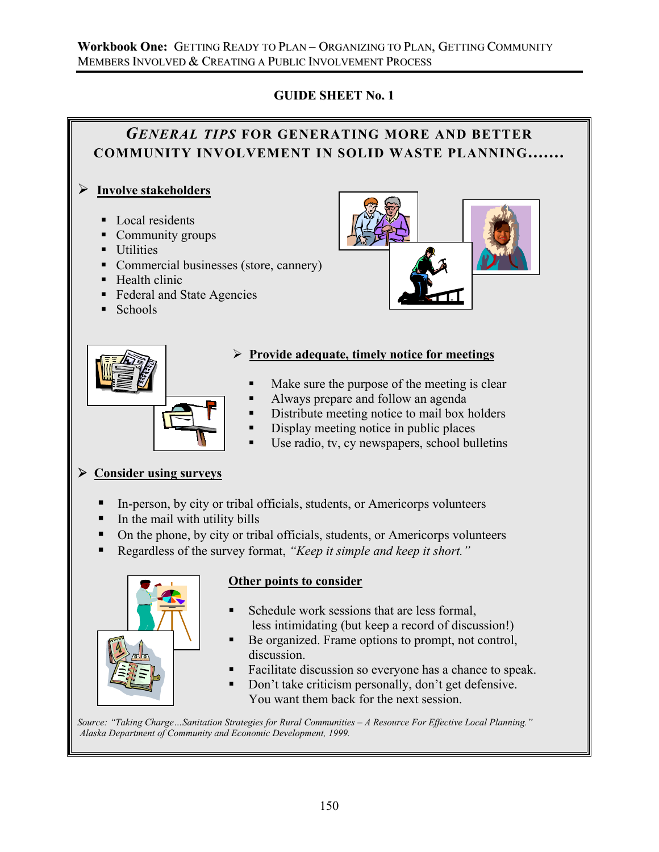### **Workbook One:** GETTING READY TO PLAN – ORGANIZING TO PLAN, GETTING COMMUNITY MEMBERS INVOLVED & CREATING A PUBLIC INVOLVEMENT PROCESS

# **GUIDE SHEET No. 1**

# *GENERAL TIPS* **FOR GENERATING MORE AND BETTER COMMUNITY INVOLVEMENT IN SOLID WASTE PLANNING.......** ¾ **Involve stakeholders** ■ Local residents • Community groups **Utilities** • Commercial businesses (store, cannery)  $H$ ealth clinic ■ Federal and State Agencies  $\blacksquare$  Schools ¾ **Provide adequate, timely notice for meetings** Make sure the purpose of the meeting is clear Always prepare and follow an agenda Distribute meeting notice to mail box holders Display meeting notice in public places Use radio, tv, cy newspapers, school bulletins ¾ **Consider using surveys** In-person, by city or tribal officials, students, or Americorps volunteers  $\blacksquare$  In the mail with utility bills • On the phone, by city or tribal officials, students, or Americorps volunteers Regardless of the survey format, *"Keep it simple and keep it short."* **Other points to consider** Schedule work sessions that are less formal, less intimidating (but keep a record of discussion!) Be organized. Frame options to prompt, not control,

- Facilitate discussion so everyone has a chance to speak.
- Don't take criticism personally, don't get defensive. You want them back for the next session.

*Source: "Taking Charge…Sanitation Strategies for Rural Communities – A Resource For Effective Local Planning." Alaska Department of Community and Economic Development, 1999.*

discussion.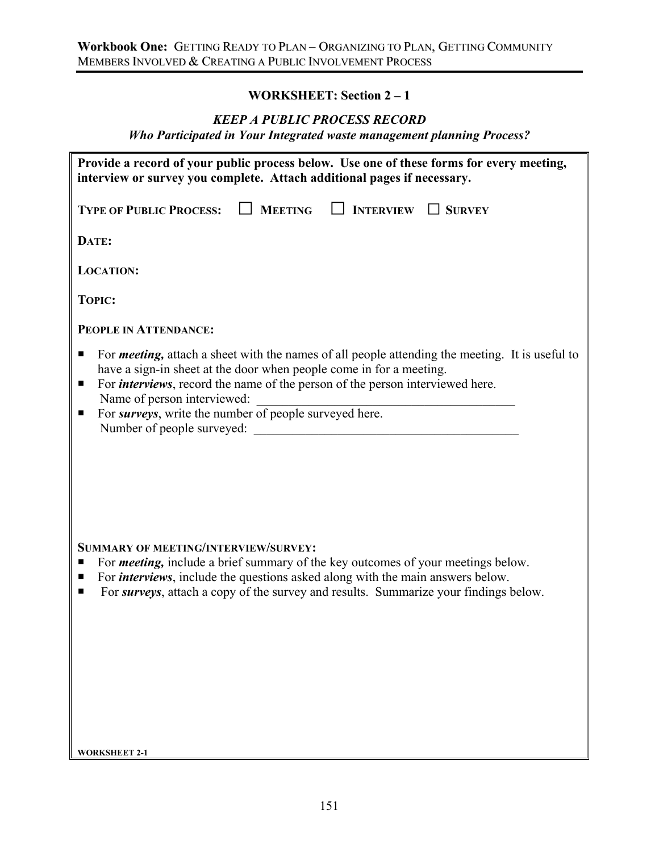## **WORKSHEET: Section 2 – 1**

### *KEEP A PUBLIC PROCESS RECORD*

*Who Participated in Your Integrated waste management planning Process?* 

| Provide a record of your public process below. Use one of these forms for every meeting,<br>interview or survey you complete. Attach additional pages if necessary.                                                                                                                                                                                                                                           |
|---------------------------------------------------------------------------------------------------------------------------------------------------------------------------------------------------------------------------------------------------------------------------------------------------------------------------------------------------------------------------------------------------------------|
| $\Box$ MEETING<br>$\Box$ INTERVIEW<br><b>TYPE OF PUBLIC PROCESS:</b><br>$\Box$ SURVEY                                                                                                                                                                                                                                                                                                                         |
| DATE:                                                                                                                                                                                                                                                                                                                                                                                                         |
| <b>LOCATION:</b>                                                                                                                                                                                                                                                                                                                                                                                              |
| <b>TOPIC:</b>                                                                                                                                                                                                                                                                                                                                                                                                 |
| PEOPLE IN ATTENDANCE:                                                                                                                                                                                                                                                                                                                                                                                         |
| For <i>meeting</i> , attach a sheet with the names of all people attending the meeting. It is useful to<br>■<br>have a sign-in sheet at the door when people come in for a meeting.<br>For <i>interviews</i> , record the name of the person of the person interviewed here.<br>٠<br>Name of person interviewed:<br>For surveys, write the number of people surveyed here.<br>п<br>Number of people surveyed: |
| <b>SUMMARY OF MEETING/INTERVIEW/SURVEY:</b><br>For <i>meeting</i> , include a brief summary of the key outcomes of your meetings below.<br>п<br>For <i>interviews</i> , include the questions asked along with the main answers below.<br>٠<br>For <i>surveys</i> , attach a copy of the survey and results. Summarize your findings below.<br>п                                                              |

**WORKSHEET 2-1**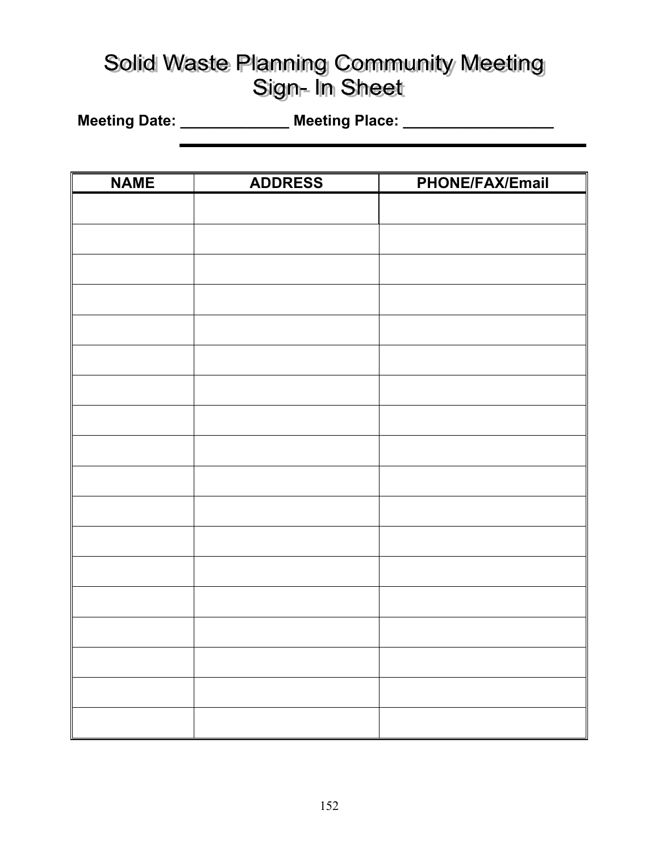# Solid Waste Planning Community Meeting Sign- In Sheet

**Meeting Date: \_\_\_\_\_\_\_\_\_\_\_\_\_ Meeting Place: \_\_\_\_\_\_\_\_\_\_\_\_\_\_\_\_\_\_** 

| <b>NAME</b> | <b>ADDRESS</b> | <b>PHONE/FAX/Email</b> |
|-------------|----------------|------------------------|
|             |                |                        |
|             |                |                        |
|             |                |                        |
|             |                |                        |
|             |                |                        |
|             |                |                        |
|             |                |                        |
|             |                |                        |
|             |                |                        |
|             |                |                        |
|             |                |                        |
|             |                |                        |
|             |                |                        |
|             |                |                        |
|             |                |                        |
|             |                |                        |
|             |                |                        |
|             |                |                        |
|             |                |                        |
|             |                |                        |
|             |                |                        |
|             |                |                        |
|             |                |                        |
|             |                |                        |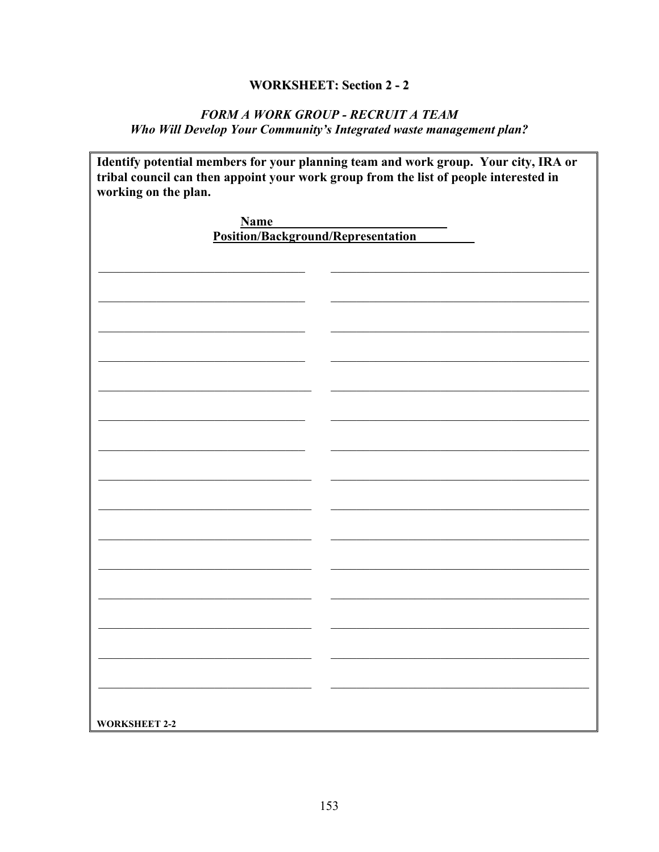# **WORKSHEET: Section 2 - 2**

## FORM A WORK GROUP - RECRUIT A TEAM Who Will Develop Your Community's Integrated waste management plan?

| working on the plan.               | Identify potential members for your planning team and work group. Your city, IRA or<br>tribal council can then appoint your work group from the list of people interested in |
|------------------------------------|------------------------------------------------------------------------------------------------------------------------------------------------------------------------------|
| <b>Name</b>                        |                                                                                                                                                                              |
| Position/Background/Representation |                                                                                                                                                                              |
|                                    |                                                                                                                                                                              |
|                                    |                                                                                                                                                                              |
|                                    |                                                                                                                                                                              |
|                                    |                                                                                                                                                                              |
|                                    |                                                                                                                                                                              |
|                                    |                                                                                                                                                                              |
|                                    |                                                                                                                                                                              |
|                                    |                                                                                                                                                                              |
|                                    |                                                                                                                                                                              |
|                                    |                                                                                                                                                                              |
|                                    |                                                                                                                                                                              |
|                                    |                                                                                                                                                                              |
|                                    |                                                                                                                                                                              |
|                                    |                                                                                                                                                                              |
|                                    |                                                                                                                                                                              |
|                                    |                                                                                                                                                                              |
|                                    |                                                                                                                                                                              |
|                                    |                                                                                                                                                                              |
|                                    |                                                                                                                                                                              |
|                                    |                                                                                                                                                                              |
|                                    |                                                                                                                                                                              |
|                                    |                                                                                                                                                                              |
|                                    |                                                                                                                                                                              |
|                                    |                                                                                                                                                                              |
|                                    |                                                                                                                                                                              |
|                                    |                                                                                                                                                                              |
|                                    |                                                                                                                                                                              |
|                                    |                                                                                                                                                                              |
|                                    |                                                                                                                                                                              |
|                                    |                                                                                                                                                                              |
|                                    |                                                                                                                                                                              |
|                                    |                                                                                                                                                                              |
| <b>WORKSHEET 2-2</b>               |                                                                                                                                                                              |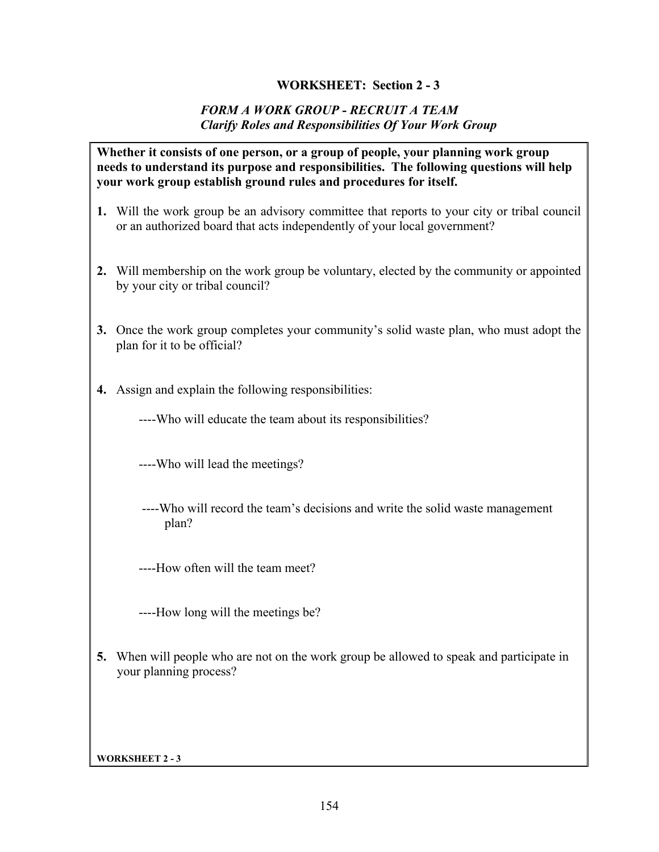### **WORKSHEET: Section 2 - 3**

### *FORM A WORK GROUP - RECRUIT A TEAM Clarify Roles and Responsibilities Of Your Work Group*

### **Whether it consists of one person, or a group of people, your planning work group needs to understand its purpose and responsibilities. The following questions will help your work group establish ground rules and procedures for itself.**

- **1.** Will the work group be an advisory committee that reports to your city or tribal council or an authorized board that acts independently of your local government?
- **2.** Will membership on the work group be voluntary, elected by the community or appointed by your city or tribal council?
- **3.** Once the work group completes your community's solid waste plan, who must adopt the plan for it to be official?
- **4.** Assign and explain the following responsibilities:

----Who will educate the team about its responsibilities?

----Who will lead the meetings?

 ----Who will record the team's decisions and write the solid waste management plan?

----How often will the team meet?

----How long will the meetings be?

**5.** When will people who are not on the work group be allowed to speak and participate in your planning process?

**WORKSHEET 2 - 3**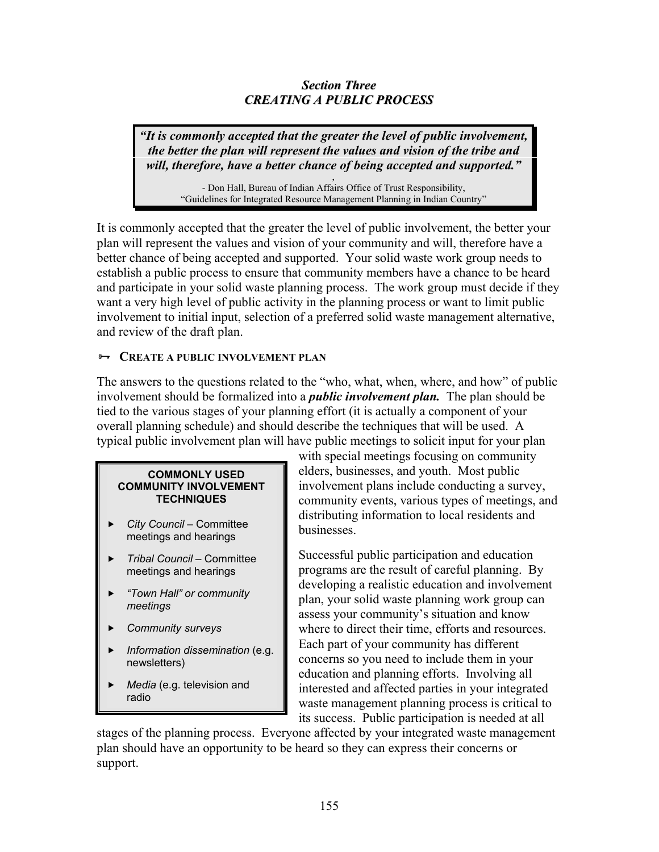### *Section Three CREATING A PUBLIC PROCESS*

*"It is commonly accepted that the greater the level of public involvement, the better the plan will represent the values and vision of the tribe and will, therefore, have a better chance of being accepted and supported."*

> *,*  - Don Hall, Bureau of Indian Affairs Office of Trust Responsibility, "Guidelines for Integrated Resource Management Planning in Indian Country"

It is commonly accepted that the greater the level of public involvement, the better your plan will represent the values and vision of your community and will, therefore have a better chance of being accepted and supported. Your solid waste work group needs to establish a public process to ensure that community members have a chance to be heard and participate in your solid waste planning process. The work group must decide if they want a very high level of public activity in the planning process or want to limit public involvement to initial input, selection of a preferred solid waste management alternative, and review of the draft plan.

### $\rightarrow$  **CREATE A PUBLIC INVOLVEMENT PLAN**

The answers to the questions related to the "who, what, when, where, and how" of public involvement should be formalized into a *public involvement plan.* The plan should be tied to the various stages of your planning effort (it is actually a component of your overall planning schedule) and should describe the techniques that will be used. A typical public involvement plan will have public meetings to solicit input for your plan

#### **COMMONLY USED COMMUNITY INVOLVEMENT TECHNIQUES**

- f *City Council* Committee meetings and hearings
- f *Tribal Council* Committee meetings and hearings
- f *"Town Hall" or community meetings*
- f *Community surveys*
- f *Information dissemination* (e.g. newsletters)
- *Media* (e.g. television and radio

with special meetings focusing on community elders, businesses, and youth. Most public involvement plans include conducting a survey, community events, various types of meetings, and distributing information to local residents and businesses.

Successful public participation and education programs are the result of careful planning. By developing a realistic education and involvement plan, your solid waste planning work group can assess your community's situation and know where to direct their time, efforts and resources. Each part of your community has different concerns so you need to include them in your education and planning efforts. Involving all interested and affected parties in your integrated waste management planning process is critical to its success. Public participation is needed at all

stages of the planning process. Everyone affected by your integrated waste management plan should have an opportunity to be heard so they can express their concerns or support.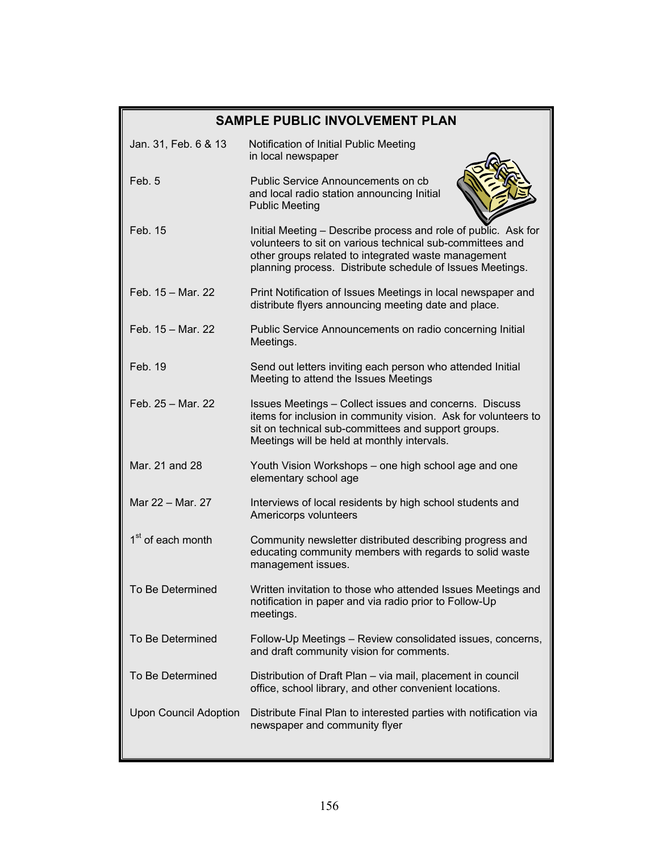|                               | <b>SAMPLE PUBLIC INVOLVEMENT PLAN</b>                                                                                                                                                                                                           |
|-------------------------------|-------------------------------------------------------------------------------------------------------------------------------------------------------------------------------------------------------------------------------------------------|
| Jan. 31, Feb. 6 & 13          | Notification of Initial Public Meeting<br>in local newspaper                                                                                                                                                                                    |
| Feb. 5                        | Public Service Announcements on cb<br>and local radio station announcing Initial<br><b>Public Meeting</b>                                                                                                                                       |
| Feb. 15                       | Initial Meeting - Describe process and role of public. Ask for<br>volunteers to sit on various technical sub-committees and<br>other groups related to integrated waste management<br>planning process. Distribute schedule of Issues Meetings. |
| Feb. 15 - Mar. 22             | Print Notification of Issues Meetings in local newspaper and<br>distribute flyers announcing meeting date and place.                                                                                                                            |
| Feb. 15 - Mar. 22             | Public Service Announcements on radio concerning Initial<br>Meetings.                                                                                                                                                                           |
| Feb. 19                       | Send out letters inviting each person who attended Initial<br>Meeting to attend the Issues Meetings                                                                                                                                             |
| Feb. 25 - Mar. 22             | Issues Meetings - Collect issues and concerns. Discuss<br>items for inclusion in community vision. Ask for volunteers to<br>sit on technical sub-committees and support groups.<br>Meetings will be held at monthly intervals.                  |
| Mar. 21 and 28                | Youth Vision Workshops - one high school age and one<br>elementary school age                                                                                                                                                                   |
| Mar 22 - Mar. 27              | Interviews of local residents by high school students and<br>Americorps volunteers                                                                                                                                                              |
| 1 <sup>st</sup> of each month | Community newsletter distributed describing progress and<br>educating community members with regards to solid waste<br>management issues.                                                                                                       |
| To Be Determined              | Written invitation to those who attended Issues Meetings and<br>notification in paper and via radio prior to Follow-Up<br>meetings.                                                                                                             |
| To Be Determined              | Follow-Up Meetings - Review consolidated issues, concerns,<br>and draft community vision for comments.                                                                                                                                          |
| To Be Determined              | Distribution of Draft Plan - via mail, placement in council<br>office, school library, and other convenient locations.                                                                                                                          |
| <b>Upon Council Adoption</b>  | Distribute Final Plan to interested parties with notification via<br>newspaper and community flyer                                                                                                                                              |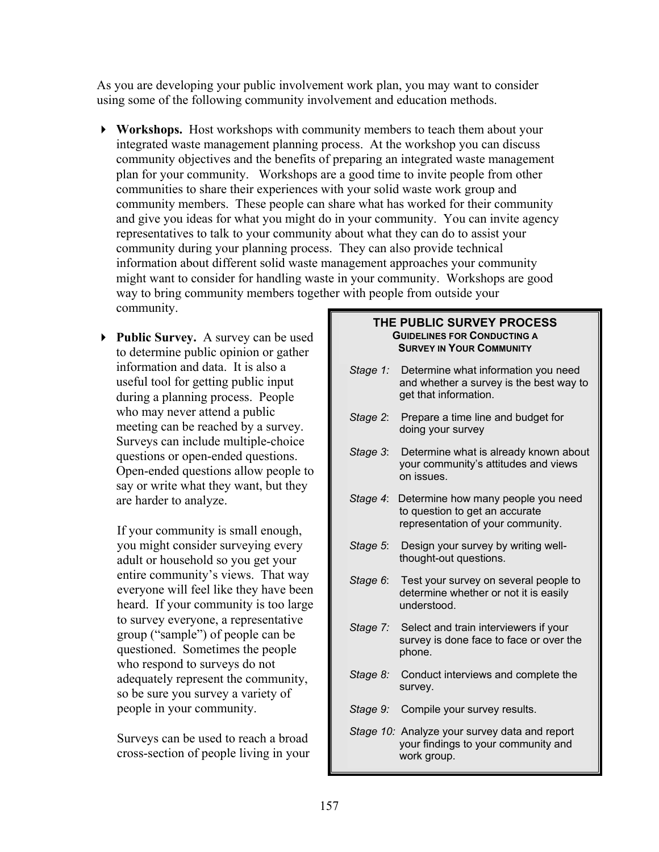As you are developing your public involvement work plan, you may want to consider using some of the following community involvement and education methods.

- **Workshops.** Host workshops with community members to teach them about your integrated waste management planning process. At the workshop you can discuss community objectives and the benefits of preparing an integrated waste management plan for your community. Workshops are a good time to invite people from other communities to share their experiences with your solid waste work group and community members. These people can share what has worked for their community and give you ideas for what you might do in your community. You can invite agency representatives to talk to your community about what they can do to assist your community during your planning process. They can also provide technical information about different solid waste management approaches your community might want to consider for handling waste in your community. Workshops are good way to bring community members together with people from outside your community.
- **Public Survey.** A survey can be used to determine public opinion or gather information and data. It is also a useful tool for getting public input during a planning process. People who may never attend a public meeting can be reached by a survey. Surveys can include multiple-choice questions or open-ended questions. Open-ended questions allow people to say or write what they want, but they are harder to analyze.

If your community is small enough, you might consider surveying every adult or household so you get your entire community's views. That way everyone will feel like they have been heard. If your community is too large to survey everyone, a representative group ("sample") of people can be questioned. Sometimes the people who respond to surveys do not adequately represent the community, so be sure you survey a variety of people in your community.

Surveys can be used to reach a broad cross-section of people living in your

#### **THE PUBLIC SURVEY PROCESS GUIDELINES FOR CONDUCTING A SURVEY IN YOUR COMMUNITY**

- *Stage 1:* Determine what information you need and whether a survey is the best way to get that information.
- *Stage 2*: Prepare a time line and budget for doing your survey
- *Stage 3*: Determine what is already known about your community's attitudes and views on issues.
- *Stage 4*: Determine how many people you need to question to get an accurate representation of your community.
- *Stage 5*: Design your survey by writing wellthought-out questions.
- *Stage 6*: Test your survey on several people to determine whether or not it is easily understood.
- *Stage 7:* Select and train interviewers if your survey is done face to face or over the phone.
- *Stage 8:* Conduct interviews and complete the survey.
- *Stage 9:* Compile your survey results.
- *Stage 10:* Analyze your survey data and report your findings to your community and work group.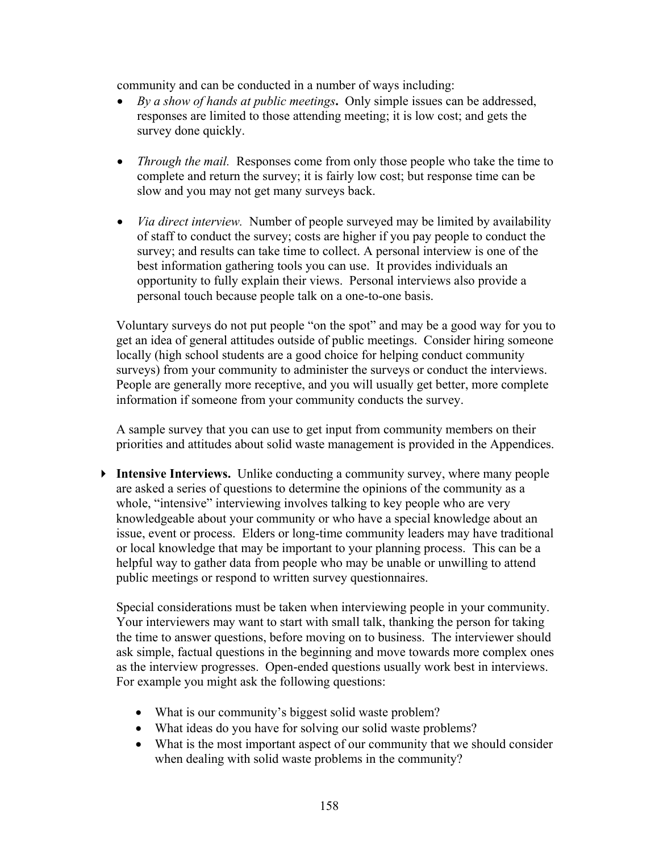community and can be conducted in a number of ways including:

- *By a show of hands at public meetings***.** Only simple issues can be addressed, responses are limited to those attending meeting; it is low cost; and gets the survey done quickly.
- *Through the mail.* Responses come from only those people who take the time to complete and return the survey; it is fairly low cost; but response time can be slow and you may not get many surveys back.
- *Via direct interview.* Number of people surveyed may be limited by availability of staff to conduct the survey; costs are higher if you pay people to conduct the survey; and results can take time to collect. A personal interview is one of the best information gathering tools you can use. It provides individuals an opportunity to fully explain their views. Personal interviews also provide a personal touch because people talk on a one-to-one basis.

Voluntary surveys do not put people "on the spot" and may be a good way for you to get an idea of general attitudes outside of public meetings. Consider hiring someone locally (high school students are a good choice for helping conduct community surveys) from your community to administer the surveys or conduct the interviews. People are generally more receptive, and you will usually get better, more complete information if someone from your community conducts the survey.

A sample survey that you can use to get input from community members on their priorities and attitudes about solid waste management is provided in the Appendices.

 **Intensive Interviews.** Unlike conducting a community survey, where many people are asked a series of questions to determine the opinions of the community as a whole, "intensive" interviewing involves talking to key people who are very knowledgeable about your community or who have a special knowledge about an issue, event or process. Elders or long-time community leaders may have traditional or local knowledge that may be important to your planning process. This can be a helpful way to gather data from people who may be unable or unwilling to attend public meetings or respond to written survey questionnaires.

Special considerations must be taken when interviewing people in your community. Your interviewers may want to start with small talk, thanking the person for taking the time to answer questions, before moving on to business. The interviewer should ask simple, factual questions in the beginning and move towards more complex ones as the interview progresses. Open-ended questions usually work best in interviews. For example you might ask the following questions:

- What is our community's biggest solid waste problem?
- What ideas do you have for solving our solid waste problems?
- What is the most important aspect of our community that we should consider when dealing with solid waste problems in the community?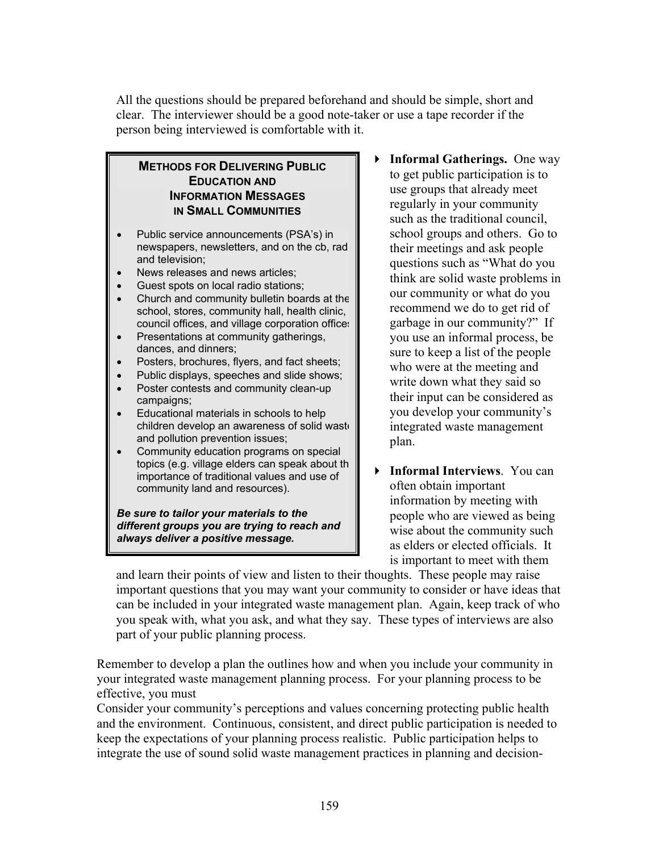All the questions should be prepared beforehand and should be simple, short and clear. The interviewer should be a good note-taker or use a tape recorder if the person being interviewed is comfortable with it.

### **METHODS FOR DELIVERING PUBLIC EDUCATION AND INFORMATION MESSAGES IN SMALL COMMUNITIES**

- Public service announcements (PSA's) in newspapers, newsletters, and on the cb, rad and television;
- News releases and news articles:
- Guest spots on local radio stations;
- Church and community bulletin boards at the school, stores, community hall, health clinic, council offices, and village corporation offices
- Presentations at community gatherings, dances, and dinners;
- Posters, brochures, flyers, and fact sheets;
- Public displays, speeches and slide shows;
- Poster contests and community clean-up campaigns;
- Educational materials in schools to help children develop an awareness of solid waste and pollution prevention issues;
- Community education programs on special topics (e.g. village elders can speak about th importance of traditional values and use of community land and resources).

*Be sure to tailor your materials to the different groups you are trying to reach and always deliver a positive message.* 

- **Informal Gatherings.** One way to get public participation is to use groups that already meet regularly in your community such as the traditional council, school groups and others. Go to their meetings and ask people questions such as "What do you think are solid waste problems in our community or what do you recommend we do to get rid of garbage in our community?" If you use an informal process, be sure to keep a list of the people who were at the meeting and write down what they said so their input can be considered as you develop your community's integrated waste management plan.
- **Informal Interviews**. You can often obtain important information by meeting with people who are viewed as being wise about the community such as elders or elected officials. It is important to meet with them

and learn their points of view and listen to their thoughts. These people may raise important questions that you may want your community to consider or have ideas that can be included in your integrated waste management plan. Again, keep track of who you speak with, what you ask, and what they say. These types of interviews are also part of your public planning process.

Remember to develop a plan the outlines how and when you include your community in your integrated waste management planning process. For your planning process to be effective, you must

Consider your community's perceptions and values concerning protecting public health and the environment. Continuous, consistent, and direct public participation is needed to keep the expectations of your planning process realistic. Public participation helps to integrate the use of sound solid waste management practices in planning and decision-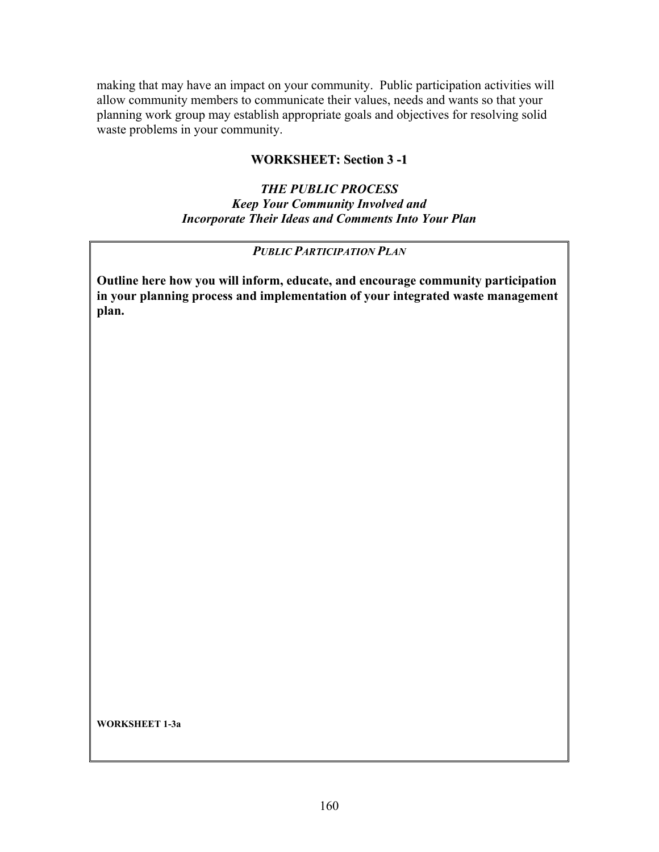making that may have an impact on your community. Public participation activities will allow community members to communicate their values, needs and wants so that your planning work group may establish appropriate goals and objectives for resolving solid waste problems in your community.

## **WORKSHEET: Section 3 -1**

### *THE PUBLIC PROCESS Keep Your Community Involved and Incorporate Their Ideas and Comments Into Your Plan*

### *PUBLIC PARTICIPATION PLAN*

**Outline here how you will inform, educate, and encourage community participation in your planning process and implementation of your integrated waste management plan.** 

**WORKSHEET 1-3a**